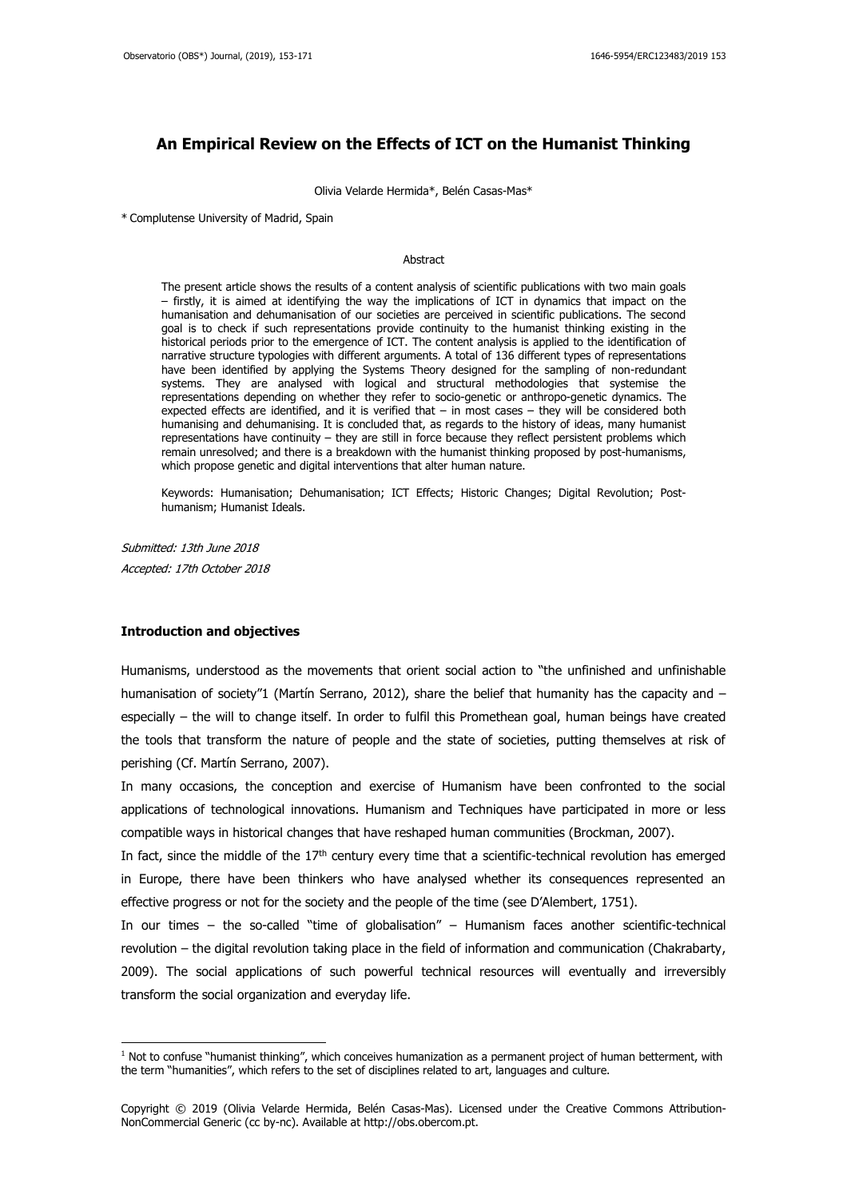## **An Empirical Review on the Effects of ICT on the Humanist Thinking**

Olivia Velarde Hermida\*, Belén Casas-Mas\*

\* Complutense University of Madrid, Spain

#### Abstract

The present article shows the results of a content analysis of scientific publications with two main goals – firstly, it is aimed at identifying the way the implications of ICT in dynamics that impact on the humanisation and dehumanisation of our societies are perceived in scientific publications. The second goal is to check if such representations provide continuity to the humanist thinking existing in the historical periods prior to the emergence of ICT. The content analysis is applied to the identification of narrative structure typologies with different arguments. A total of 136 different types of representations have been identified by applying the Systems Theory designed for the sampling of non-redundant systems. They are analysed with logical and structural methodologies that systemise the representations depending on whether they refer to socio-genetic or anthropo-genetic dynamics. The expected effects are identified, and it is verified that – in most cases – they will be considered both humanising and dehumanising. It is concluded that, as regards to the history of ideas, many humanist representations have continuity – they are still in force because they reflect persistent problems which remain unresolved; and there is a breakdown with the humanist thinking proposed by post-humanisms, which propose genetic and digital interventions that alter human nature.

Keywords: Humanisation; Dehumanisation; ICT Effects; Historic Changes; Digital Revolution; Posthumanism; Humanist Ideals.

Submitted: 13th June 2018 Accepted: 17th October 2018

### **Introduction and objectives**

-

Humanisms, understood as the movements that orient social action to "the unfinished and unfinishable humanisation of society"1 (Martín Serrano, 2012), share the belief that humanity has the capacity and especially – the will to change itself. In order to fulfil this Promethean goal, human beings have created the tools that transform the nature of people and the state of societies, putting themselves at risk of perishing (Cf. Martín Serrano, 2007).

In many occasions, the conception and exercise of Humanism have been confronted to the social applications of technological innovations. Humanism and Techniques have participated in more or less compatible ways in historical changes that have reshaped human communities (Brockman, 2007).

In fact, since the middle of the  $17<sup>th</sup>$  century every time that a scientific-technical revolution has emerged in Europe, there have been thinkers who have analysed whether its consequences represented an effective progress or not for the society and the people of the time (see D'Alembert, 1751).

In our times – the so-called "time of globalisation" – Humanism faces another scientific-technical revolution – the digital revolution taking place in the field of information and communication (Chakrabarty, 2009). The social applications of such powerful technical resources will eventually and irreversibly transform the social organization and everyday life.

 $1$  Not to confuse "humanist thinking", which conceives humanization as a permanent project of human betterment, with the term "humanities", which refers to the set of disciplines related to art, languages and culture.

Copyright © 2019 (Olivia Velarde Hermida, Belén Casas-Mas). Licensed under the Creative Commons Attribution-NonCommercial Generic (cc by-nc). Available at http://obs.obercom.pt.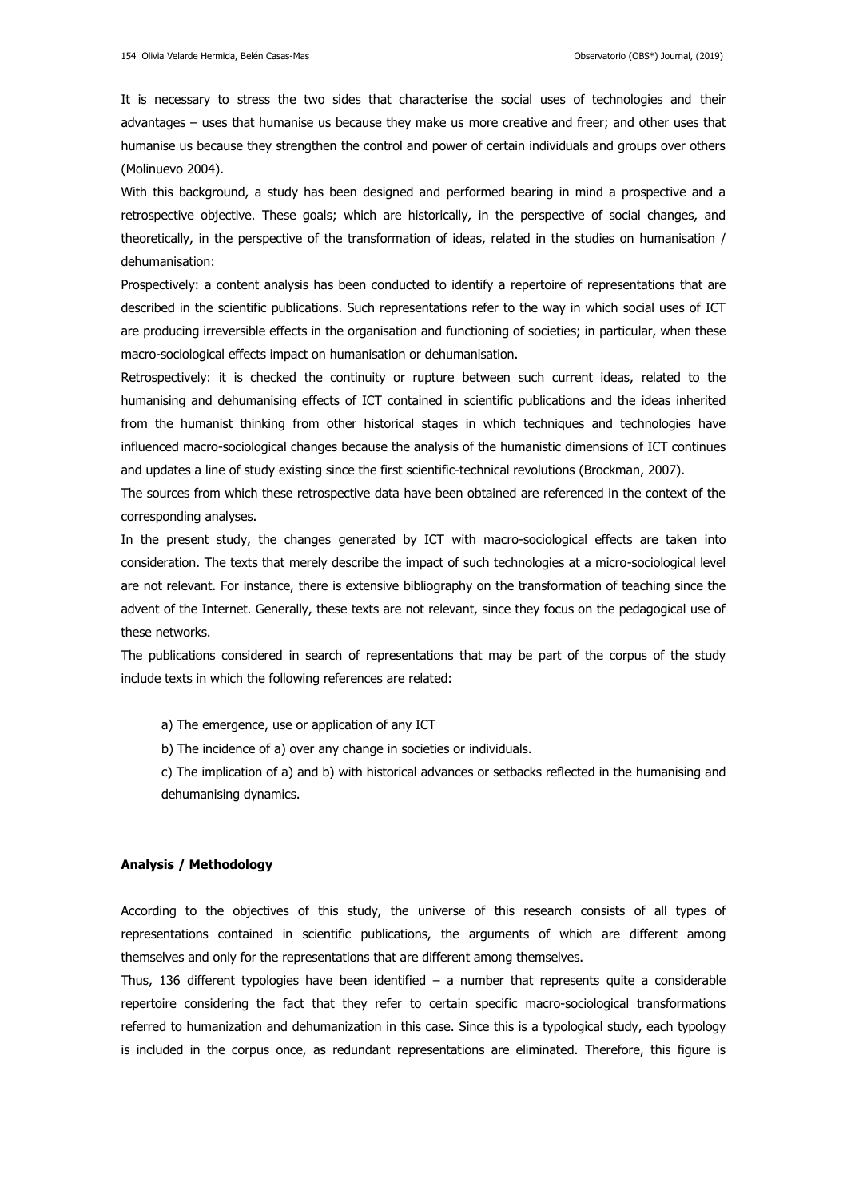It is necessary to stress the two sides that characterise the social uses of technologies and their advantages – uses that humanise us because they make us more creative and freer; and other uses that humanise us because they strengthen the control and power of certain individuals and groups over others (Molinuevo 2004).

With this background, a study has been designed and performed bearing in mind a prospective and a retrospective objective. These goals; which are historically, in the perspective of social changes, and theoretically, in the perspective of the transformation of ideas, related in the studies on humanisation / dehumanisation:

Prospectively: a content analysis has been conducted to identify a repertoire of representations that are described in the scientific publications. Such representations refer to the way in which social uses of ICT are producing irreversible effects in the organisation and functioning of societies; in particular, when these macro-sociological effects impact on humanisation or dehumanisation.

Retrospectively: it is checked the continuity or rupture between such current ideas, related to the humanising and dehumanising effects of ICT contained in scientific publications and the ideas inherited from the humanist thinking from other historical stages in which techniques and technologies have influenced macro-sociological changes because the analysis of the humanistic dimensions of ICT continues and updates a line of study existing since the first scientific-technical revolutions (Brockman, 2007).

The sources from which these retrospective data have been obtained are referenced in the context of the corresponding analyses.

In the present study, the changes generated by ICT with macro-sociological effects are taken into consideration. The texts that merely describe the impact of such technologies at a micro-sociological level are not relevant. For instance, there is extensive bibliography on the transformation of teaching since the advent of the Internet. Generally, these texts are not relevant, since they focus on the pedagogical use of these networks.

The publications considered in search of representations that may be part of the corpus of the study include texts in which the following references are related:

- a) The emergence, use or application of any ICT
- b) The incidence of a) over any change in societies or individuals.

c) The implication of a) and b) with historical advances or setbacks reflected in the humanising and dehumanising dynamics.

#### **Analysis / Methodology**

According to the objectives of this study, the universe of this research consists of all types of representations contained in scientific publications, the arguments of which are different among themselves and only for the representations that are different among themselves.

Thus, 136 different typologies have been identified  $-$  a number that represents quite a considerable repertoire considering the fact that they refer to certain specific macro-sociological transformations referred to humanization and dehumanization in this case. Since this is a typological study, each typology is included in the corpus once, as redundant representations are eliminated. Therefore, this figure is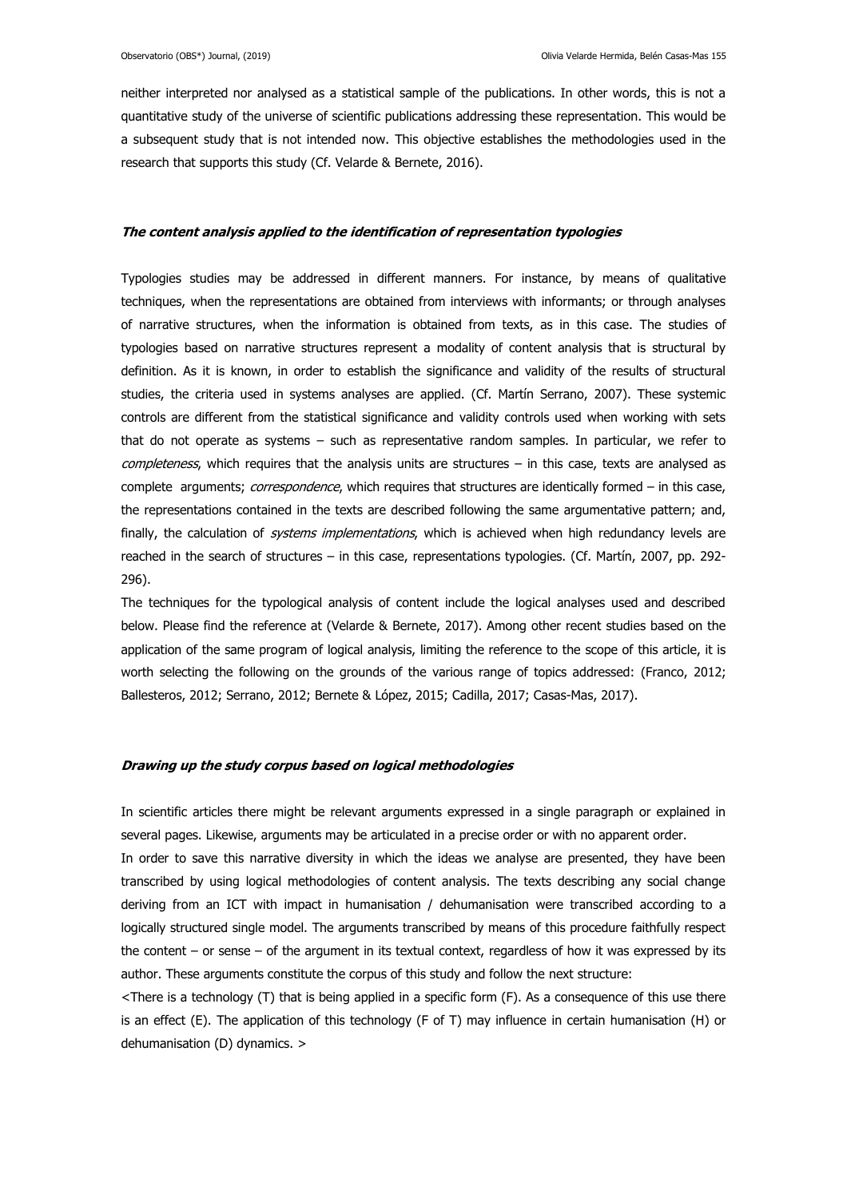neither interpreted nor analysed as a statistical sample of the publications. In other words, this is not a quantitative study of the universe of scientific publications addressing these representation. This would be a subsequent study that is not intended now. This objective establishes the methodologies used in the research that supports this study (Cf. Velarde & Bernete, 2016).

#### **The content analysis applied to the identification of representation typologies**

Typologies studies may be addressed in different manners. For instance, by means of qualitative techniques, when the representations are obtained from interviews with informants; or through analyses of narrative structures, when the information is obtained from texts, as in this case. The studies of typologies based on narrative structures represent a modality of content analysis that is structural by definition. As it is known, in order to establish the significance and validity of the results of structural studies, the criteria used in systems analyses are applied. (Cf. Martín Serrano, 2007). These systemic controls are different from the statistical significance and validity controls used when working with sets that do not operate as systems – such as representative random samples. In particular, we refer to completeness, which requires that the analysis units are structures - in this case, texts are analysed as complete arguments; correspondence, which requires that structures are identically formed – in this case, the representations contained in the texts are described following the same argumentative pattern; and, finally, the calculation of *systems implementations*, which is achieved when high redundancy levels are reached in the search of structures – in this case, representations typologies. (Cf. Martín, 2007, pp. 292- 296).

The techniques for the typological analysis of content include the logical analyses used and described below. Please find the reference at (Velarde & Bernete, 2017). Among other recent studies based on the application of the same program of logical analysis, limiting the reference to the scope of this article, it is worth selecting the following on the grounds of the various range of topics addressed: (Franco, 2012; Ballesteros, 2012; Serrano, 2012; Bernete & López, 2015; Cadilla, 2017; Casas-Mas, 2017).

#### **Drawing up the study corpus based on logical methodologies**

In scientific articles there might be relevant arguments expressed in a single paragraph or explained in several pages. Likewise, arguments may be articulated in a precise order or with no apparent order.

In order to save this narrative diversity in which the ideas we analyse are presented, they have been transcribed by using logical methodologies of content analysis. The texts describing any social change deriving from an ICT with impact in humanisation / dehumanisation were transcribed according to a logically structured single model. The arguments transcribed by means of this procedure faithfully respect the content – or sense – of the argument in its textual context, regardless of how it was expressed by its author. These arguments constitute the corpus of this study and follow the next structure:

<There is a technology (T) that is being applied in a specific form (F). As a consequence of this use there is an effect (E). The application of this technology (F of T) may influence in certain humanisation (H) or dehumanisation (D) dynamics. >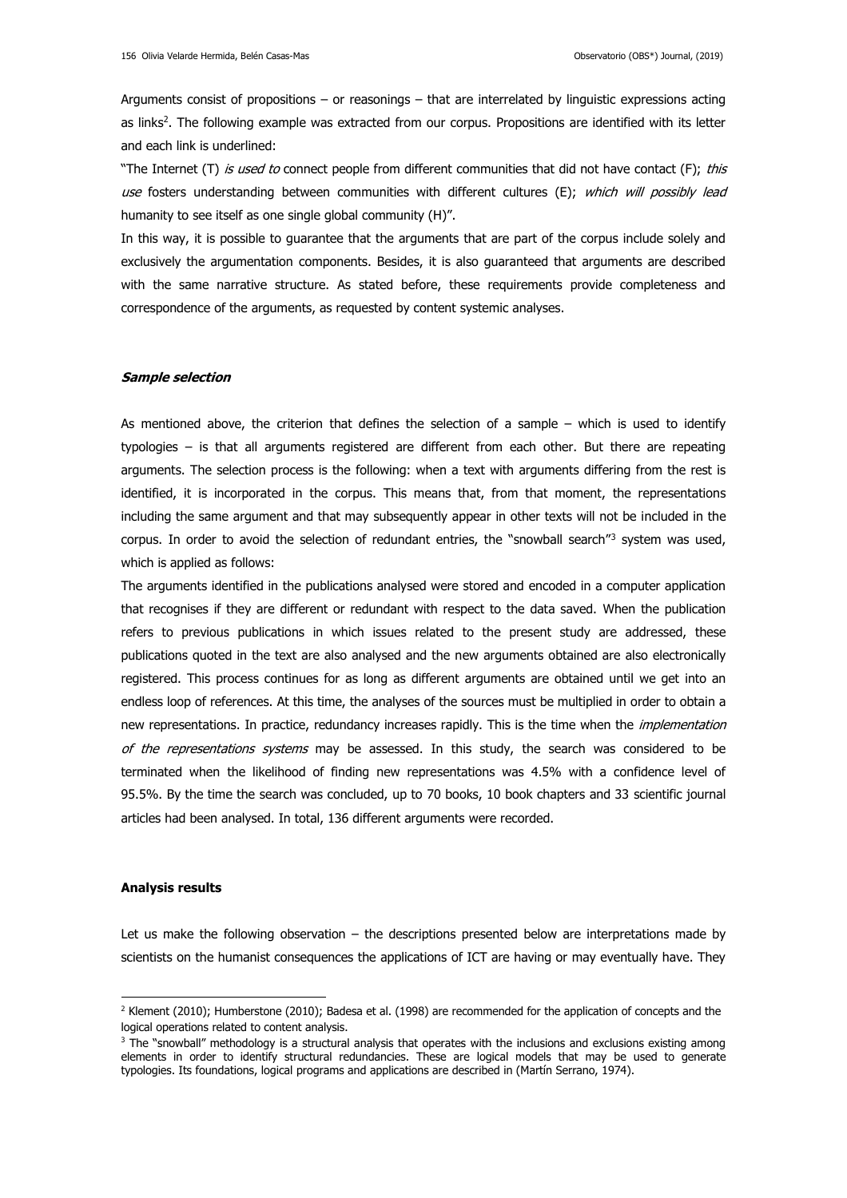Arguments consist of propositions – or reasonings – that are interrelated by linguistic expressions acting as links<sup>2</sup> . The following example was extracted from our corpus. Propositions are identified with its letter and each link is underlined:

"The Internet (T) is used to connect people from different communities that did not have contact (F); this use fosters understanding between communities with different cultures (E); which will possibly lead humanity to see itself as one single global community (H)".

In this way, it is possible to guarantee that the arguments that are part of the corpus include solely and exclusively the argumentation components. Besides, it is also guaranteed that arguments are described with the same narrative structure. As stated before, these requirements provide completeness and correspondence of the arguments, as requested by content systemic analyses.

#### **Sample selection**

As mentioned above, the criterion that defines the selection of a sample – which is used to identify typologies – is that all arguments registered are different from each other. But there are repeating arguments. The selection process is the following: when a text with arguments differing from the rest is identified, it is incorporated in the corpus. This means that, from that moment, the representations including the same argument and that may subsequently appear in other texts will not be included in the corpus. In order to avoid the selection of redundant entries, the "snowball search"<sup>3</sup> system was used, which is applied as follows:

The arguments identified in the publications analysed were stored and encoded in a computer application that recognises if they are different or redundant with respect to the data saved. When the publication refers to previous publications in which issues related to the present study are addressed, these publications quoted in the text are also analysed and the new arguments obtained are also electronically registered. This process continues for as long as different arguments are obtained until we get into an endless loop of references. At this time, the analyses of the sources must be multiplied in order to obtain a new representations. In practice, redundancy increases rapidly. This is the time when the *implementation* of the representations systems may be assessed. In this study, the search was considered to be terminated when the likelihood of finding new representations was 4.5% with a confidence level of 95.5%. By the time the search was concluded, up to 70 books, 10 book chapters and 33 scientific journal articles had been analysed. In total, 136 different arguments were recorded.

#### **Analysis results**

-

Let us make the following observation – the descriptions presented below are interpretations made by scientists on the humanist consequences the applications of ICT are having or may eventually have. They

<sup>&</sup>lt;sup>2</sup> Klement (2010); Humberstone (2010); Badesa et al. (1998) are recommended for the application of concepts and the logical operations related to content analysis.

 $3$  The "snowball" methodology is a structural analysis that operates with the inclusions and exclusions existing among elements in order to identify structural redundancies. These are logical models that may be used to generate typologies. Its foundations, logical programs and applications are described in (Martín Serrano, 1974).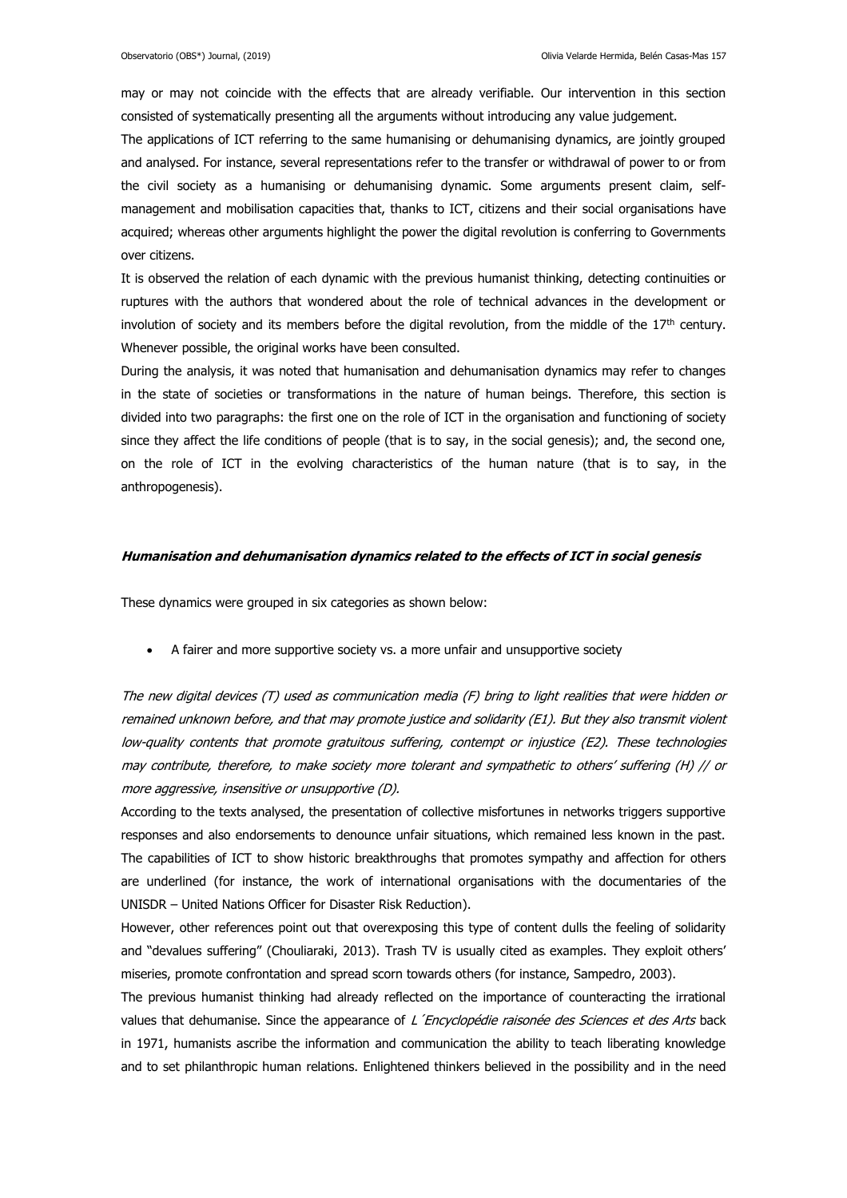may or may not coincide with the effects that are already verifiable. Our intervention in this section consisted of systematically presenting all the arguments without introducing any value judgement.

The applications of ICT referring to the same humanising or dehumanising dynamics, are jointly grouped and analysed. For instance, several representations refer to the transfer or withdrawal of power to or from the civil society as a humanising or dehumanising dynamic. Some arguments present claim, selfmanagement and mobilisation capacities that, thanks to ICT, citizens and their social organisations have acquired; whereas other arguments highlight the power the digital revolution is conferring to Governments over citizens.

It is observed the relation of each dynamic with the previous humanist thinking, detecting continuities or ruptures with the authors that wondered about the role of technical advances in the development or involution of society and its members before the digital revolution, from the middle of the  $17<sup>th</sup>$  century. Whenever possible, the original works have been consulted.

During the analysis, it was noted that humanisation and dehumanisation dynamics may refer to changes in the state of societies or transformations in the nature of human beings. Therefore, this section is divided into two paragraphs: the first one on the role of ICT in the organisation and functioning of society since they affect the life conditions of people (that is to say, in the social genesis); and, the second one, on the role of ICT in the evolving characteristics of the human nature (that is to say, in the anthropogenesis).

#### **Humanisation and dehumanisation dynamics related to the effects of ICT in social genesis**

These dynamics were grouped in six categories as shown below:

A fairer and more supportive society vs. a more unfair and unsupportive society

The new digital devices (T) used as communication media (F) bring to light realities that were hidden or remained unknown before, and that may promote justice and solidarity (E1). But they also transmit violent low-quality contents that promote gratuitous suffering, contempt or injustice (E2). These technologies may contribute, therefore, to make society more tolerant and sympathetic to others' suffering (H) // or more aggressive, insensitive or unsupportive (D).

According to the texts analysed, the presentation of collective misfortunes in networks triggers supportive responses and also endorsements to denounce unfair situations, which remained less known in the past. The capabilities of ICT to show historic breakthroughs that promotes sympathy and affection for others are underlined (for instance, the work of international organisations with the documentaries of the UNISDR – United Nations Officer for Disaster Risk Reduction).

However, other references point out that overexposing this type of content dulls the feeling of solidarity and "devalues suffering" (Chouliaraki, 2013). Trash TV is usually cited as examples. They exploit others' miseries, promote confrontation and spread scorn towards others (for instance, Sampedro, 2003).

The previous humanist thinking had already reflected on the importance of counteracting the irrational values that dehumanise. Since the appearance of L'Encyclopédie raisonée des Sciences et des Arts back in 1971, humanists ascribe the information and communication the ability to teach liberating knowledge and to set philanthropic human relations. Enlightened thinkers believed in the possibility and in the need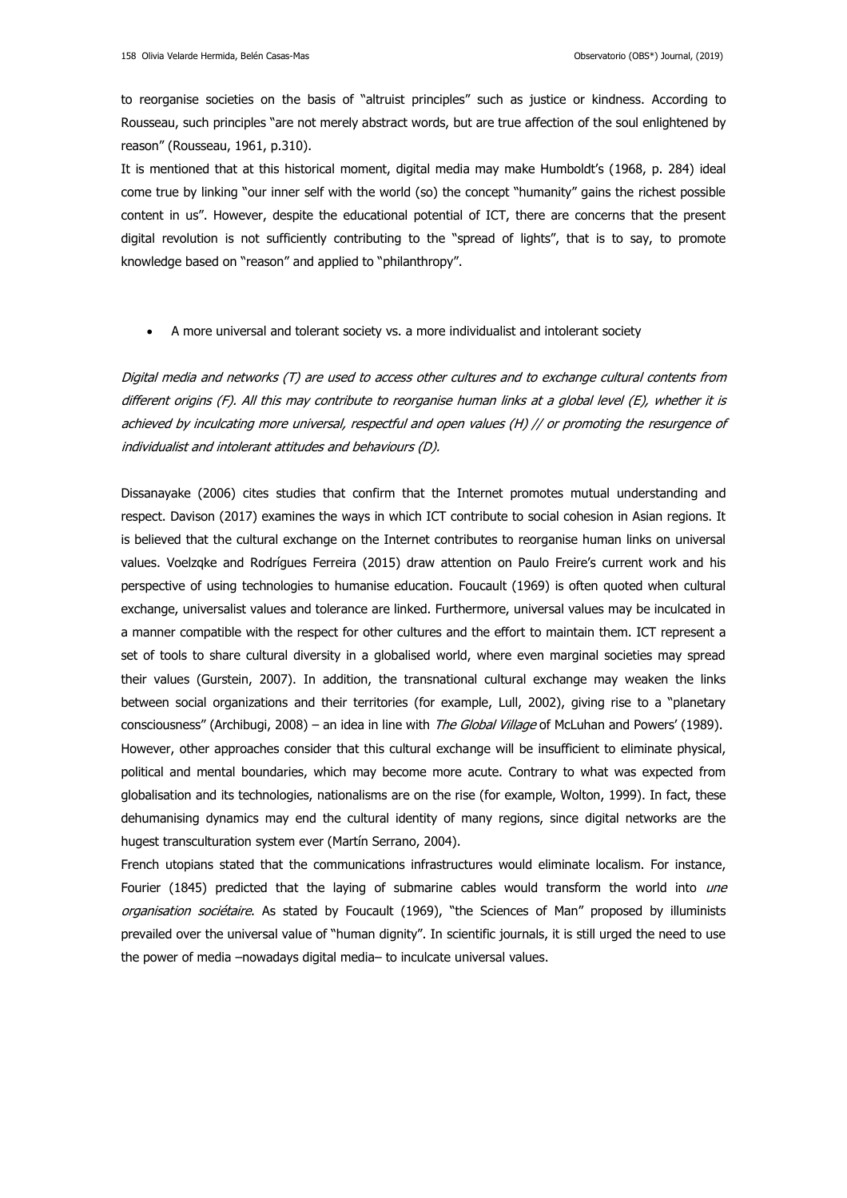to reorganise societies on the basis of "altruist principles" such as justice or kindness. According to Rousseau, such principles "are not merely abstract words, but are true affection of the soul enlightened by reason" (Rousseau, 1961, p.310).

It is mentioned that at this historical moment, digital media may make Humboldt's (1968, p. 284) ideal come true by linking "our inner self with the world (so) the concept "humanity" gains the richest possible content in us". However, despite the educational potential of ICT, there are concerns that the present digital revolution is not sufficiently contributing to the "spread of lights", that is to say, to promote knowledge based on "reason" and applied to "philanthropy".

A more universal and tolerant society vs. a more individualist and intolerant society

Digital media and networks (T) are used to access other cultures and to exchange cultural contents from different origins (F). All this may contribute to reorganise human links at a global level (E), whether it is achieved by inculcating more universal, respectful and open values (H) // or promoting the resurgence of individualist and intolerant attitudes and behaviours (D).

Dissanayake (2006) cites studies that confirm that the Internet promotes mutual understanding and respect. Davison (2017) examines the ways in which ICT contribute to social cohesion in Asian regions. It is believed that the cultural exchange on the Internet contributes to reorganise human links on universal values. Voelzqke and Rodrígues Ferreira (2015) draw attention on Paulo Freire's current work and his perspective of using technologies to humanise education. Foucault (1969) is often quoted when cultural exchange, universalist values and tolerance are linked. Furthermore, universal values may be inculcated in a manner compatible with the respect for other cultures and the effort to maintain them. ICT represent a set of tools to share cultural diversity in a globalised world, where even marginal societies may spread their values (Gurstein, 2007). In addition, the transnational cultural exchange may weaken the links between social organizations and their territories (for example, Lull, 2002), giving rise to a "planetary consciousness" (Archibugi, 2008) – an idea in line with *The Global Village* of McLuhan and Powers' (1989). However, other approaches consider that this cultural exchange will be insufficient to eliminate physical, political and mental boundaries, which may become more acute. Contrary to what was expected from globalisation and its technologies, nationalisms are on the rise (for example, Wolton, 1999). In fact, these dehumanising dynamics may end the cultural identity of many regions, since digital networks are the hugest transculturation system ever (Martín Serrano, 2004).

French utopians stated that the communications infrastructures would eliminate localism. For instance, Fourier (1845) predicted that the laying of submarine cables would transform the world into une organisation sociétaire. As stated by Foucault (1969), "the Sciences of Man" proposed by illuminists prevailed over the universal value of "human dignity". In scientific journals, it is still urged the need to use the power of media –nowadays digital media– to inculcate universal values.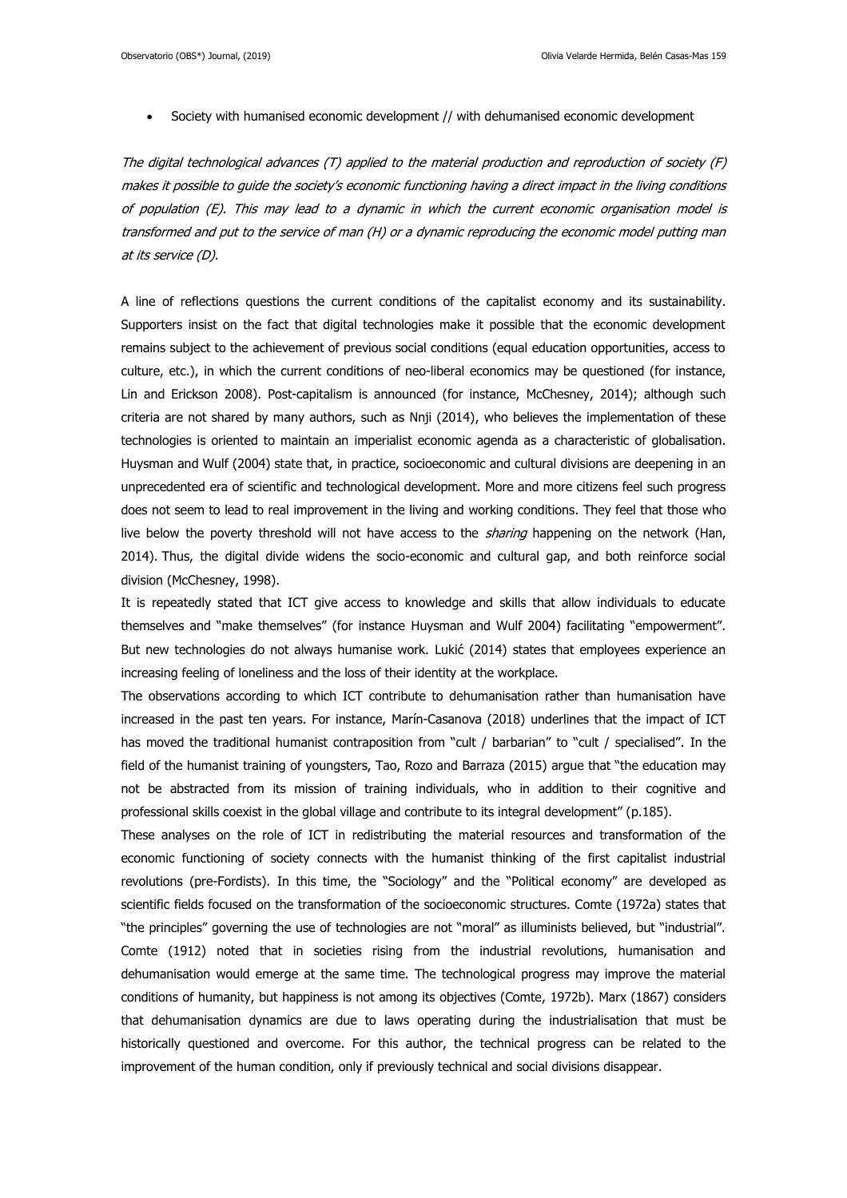Society with humanised economic development // with dehumanised economic development

The digital technological advances (T) applied to the material production and reproduction of society (F) makes it possible to guide the society's economic functioning having a direct impact in the living conditions of population (E). This may lead to a dynamic in which the current economic organisation model is transformed and put to the service of man (H) or a dynamic reproducing the economic model putting man at its service (D).

A line of reflections questions the current conditions of the capitalist economy and its sustainability. Supporters insist on the fact that digital technologies make it possible that the economic development remains subject to the achievement of previous social conditions (equal education opportunities, access to culture, etc.), in which the current conditions of neo-liberal economics may be questioned (for instance, Lin and Erickson 2008). Post-capitalism is announced (for instance, McChesney, 2014); although such criteria are not shared by many authors, such as Nnji (2014), who believes the implementation of these technologies is oriented to maintain an imperialist economic agenda as a characteristic of globalisation. Huysman and Wulf (2004) state that, in practice, socioeconomic and cultural divisions are deepening in an unprecedented era of scientific and technological development. More and more citizens feel such progress does not seem to lead to real improvement in the living and working conditions. They feel that those who live below the poverty threshold will not have access to the *sharing* happening on the network (Han, 2014). Thus, the digital divide widens the socio-economic and cultural gap, and both reinforce social division (McChesney, 1998).

It is repeatedly stated that ICT give access to knowledge and skills that allow individuals to educate themselves and "make themselves" (for instance Huysman and Wulf 2004) facilitating "empowerment". But new technologies do not always humanise work. Lukić (2014) states that employees experience an increasing feeling of loneliness and the loss of their identity at the workplace.

The observations according to which ICT contribute to dehumanisation rather than humanisation have increased in the past ten years. For instance, Marín-Casanova (2018) underlines that the impact of ICT has moved the traditional humanist contraposition from "cult / barbarian" to "cult / specialised". In the field of the humanist training of youngsters, Tao, Rozo and Barraza (2015) argue that "the education may not be abstracted from its mission of training individuals, who in addition to their cognitive and professional skills coexist in the global village and contribute to its integral development" (p.185).

These analyses on the role of ICT in redistributing the material resources and transformation of the economic functioning of society connects with the humanist thinking of the first capitalist industrial revolutions (pre-Fordists). In this time, the "Sociology" and the "Political economy" are developed as scientific fields focused on the transformation of the socioeconomic structures. Comte (1972a) states that "the principles" governing the use of technologies are not "moral" as illuminists believed, but "industrial". Comte (1912) noted that in societies rising from the industrial revolutions, humanisation and dehumanisation would emerge at the same time. The technological progress may improve the material conditions of humanity, but happiness is not among its objectives (Comte, 1972b). Marx (1867) considers that dehumanisation dynamics are due to laws operating during the industrialisation that must be historically questioned and overcome. For this author, the technical progress can be related to the improvement of the human condition, only if previously technical and social divisions disappear.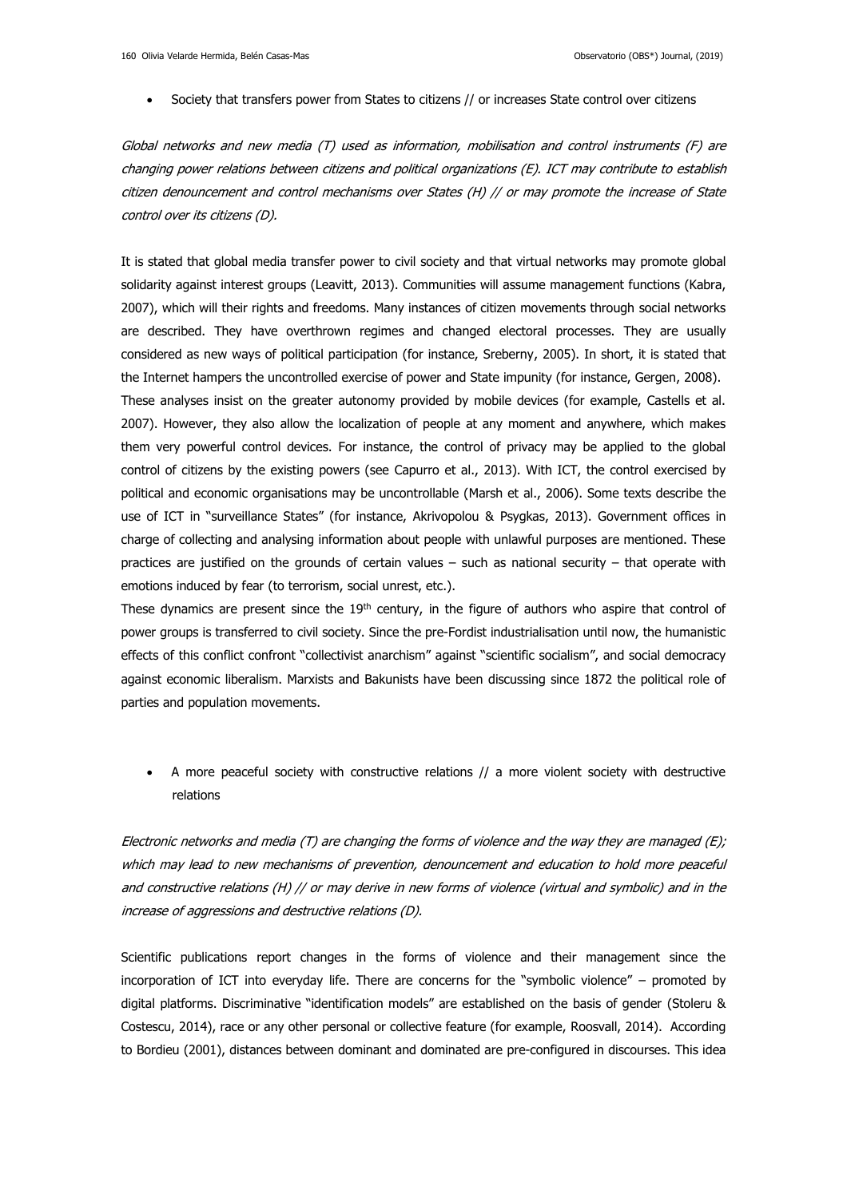Society that transfers power from States to citizens // or increases State control over citizens

Global networks and new media (T) used as information, mobilisation and control instruments (F) are changing power relations between citizens and political organizations (E). ICT may contribute to establish citizen denouncement and control mechanisms over States (H) // or may promote the increase of State control over its citizens (D).

It is stated that global media transfer power to civil society and that virtual networks may promote global solidarity against interest groups (Leavitt, 2013). Communities will assume management functions (Kabra, 2007), which will their rights and freedoms. Many instances of citizen movements through social networks are described. They have overthrown regimes and changed electoral processes. They are usually considered as new ways of political participation (for instance, Sreberny, 2005). In short, it is stated that the Internet hampers the uncontrolled exercise of power and State impunity (for instance, Gergen, 2008). These analyses insist on the greater autonomy provided by mobile devices (for example, Castells et al. 2007). However, they also allow the localization of people at any moment and anywhere, which makes them very powerful control devices. For instance, the control of privacy may be applied to the global control of citizens by the existing powers (see Capurro et al., 2013). With ICT, the control exercised by political and economic organisations may be uncontrollable (Marsh et al., 2006). Some texts describe the use of ICT in "surveillance States" (for instance, Akrivopolou & Psygkas, 2013). Government offices in charge of collecting and analysing information about people with unlawful purposes are mentioned. These practices are justified on the grounds of certain values – such as national security – that operate with emotions induced by fear (to terrorism, social unrest, etc.).

These dynamics are present since the 19<sup>th</sup> century, in the figure of authors who aspire that control of power groups is transferred to civil society. Since the pre-Fordist industrialisation until now, the humanistic effects of this conflict confront "collectivist anarchism" against "scientific socialism", and social democracy against economic liberalism. Marxists and Bakunists have been discussing since 1872 the political role of parties and population movements.

 A more peaceful society with constructive relations // a more violent society with destructive relations

Electronic networks and media  $(T)$  are changing the forms of violence and the way they are managed  $(E)$ ; which may lead to new mechanisms of prevention, denouncement and education to hold more peaceful and constructive relations (H) // or may derive in new forms of violence (virtual and symbolic) and in the increase of aggressions and destructive relations (D).

Scientific publications report changes in the forms of violence and their management since the incorporation of ICT into everyday life. There are concerns for the "symbolic violence" – promoted by digital platforms. Discriminative "identification models" are established on the basis of gender (Stoleru & Costescu, 2014), race or any other personal or collective feature (for example, Roosvall, 2014). According to Bordieu (2001), distances between dominant and dominated are pre-configured in discourses. This idea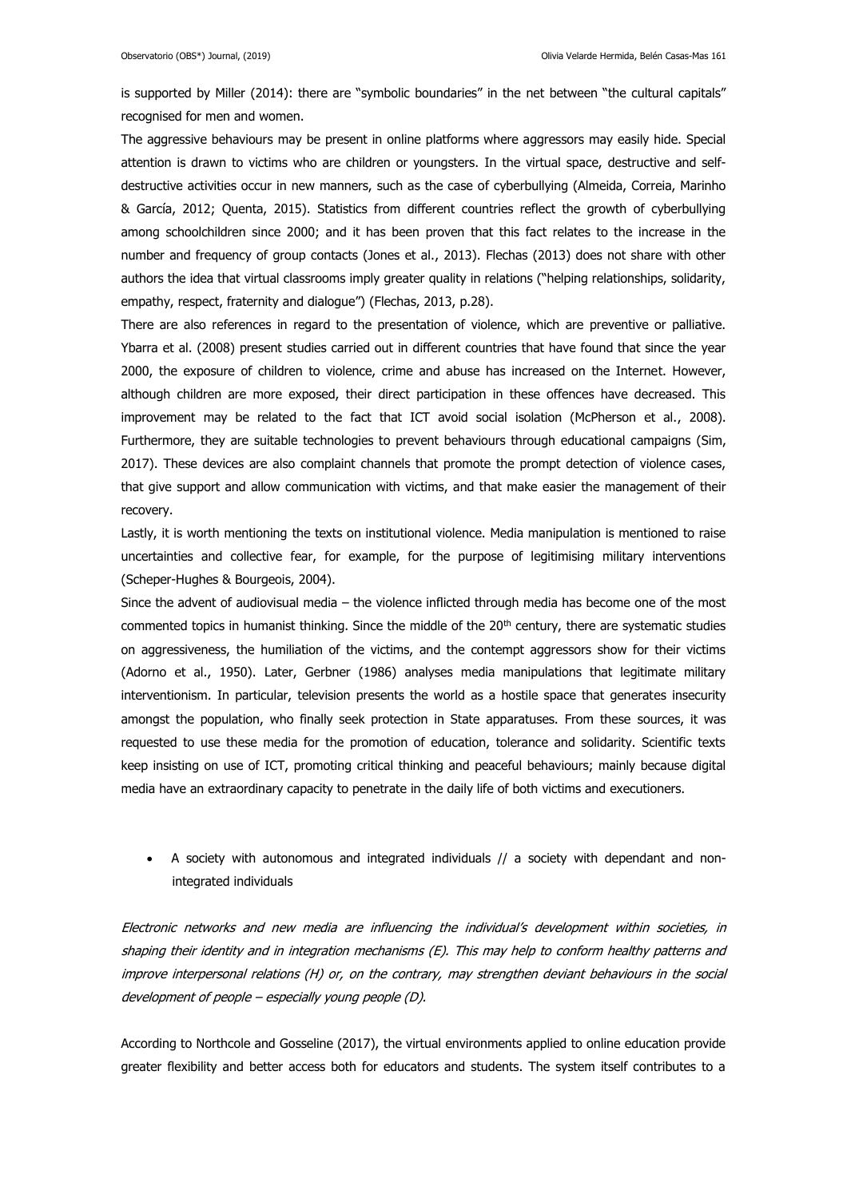is supported by Miller (2014): there are "symbolic boundaries" in the net between "the cultural capitals" recognised for men and women.

The aggressive behaviours may be present in online platforms where aggressors may easily hide. Special attention is drawn to victims who are children or youngsters. In the virtual space, destructive and selfdestructive activities occur in new manners, such as the case of cyberbullying (Almeida, Correia, Marinho & García, 2012; Quenta, 2015). Statistics from different countries reflect the growth of cyberbullying among schoolchildren since 2000; and it has been proven that this fact relates to the increase in the number and frequency of group contacts (Jones et al., 2013). Flechas (2013) does not share with other authors the idea that virtual classrooms imply greater quality in relations ("helping relationships, solidarity, empathy, respect, fraternity and dialogue") (Flechas, 2013, p.28).

There are also references in regard to the presentation of violence, which are preventive or palliative. Ybarra et al. (2008) present studies carried out in different countries that have found that since the year 2000, the exposure of children to violence, crime and abuse has increased on the Internet. However, although children are more exposed, their direct participation in these offences have decreased. This improvement may be related to the fact that ICT avoid social isolation (McPherson et al., 2008). Furthermore, they are suitable technologies to prevent behaviours through educational campaigns (Sim, 2017). These devices are also complaint channels that promote the prompt detection of violence cases, that give support and allow communication with victims, and that make easier the management of their recovery.

Lastly, it is worth mentioning the texts on institutional violence. Media manipulation is mentioned to raise uncertainties and collective fear, for example, for the purpose of legitimising military interventions (Scheper-Hughes & Bourgeois, 2004).

Since the advent of audiovisual media – the violence inflicted through media has become one of the most commented topics in humanist thinking. Since the middle of the  $20<sup>th</sup>$  century, there are systematic studies on aggressiveness, the humiliation of the victims, and the contempt aggressors show for their victims (Adorno et al., 1950). Later, Gerbner (1986) analyses media manipulations that legitimate military interventionism. In particular, television presents the world as a hostile space that generates insecurity amongst the population, who finally seek protection in State apparatuses. From these sources, it was requested to use these media for the promotion of education, tolerance and solidarity. Scientific texts keep insisting on use of ICT, promoting critical thinking and peaceful behaviours; mainly because digital media have an extraordinary capacity to penetrate in the daily life of both victims and executioners.

 A society with autonomous and integrated individuals // a society with dependant and nonintegrated individuals

Electronic networks and new media are influencing the individual's development within societies, in shaping their identity and in integration mechanisms (E). This may help to conform healthy patterns and improve interpersonal relations (H) or, on the contrary, may strengthen deviant behaviours in the social development of people – especially young people (D).

According to Northcole and Gosseline (2017), the virtual environments applied to online education provide greater flexibility and better access both for educators and students. The system itself contributes to a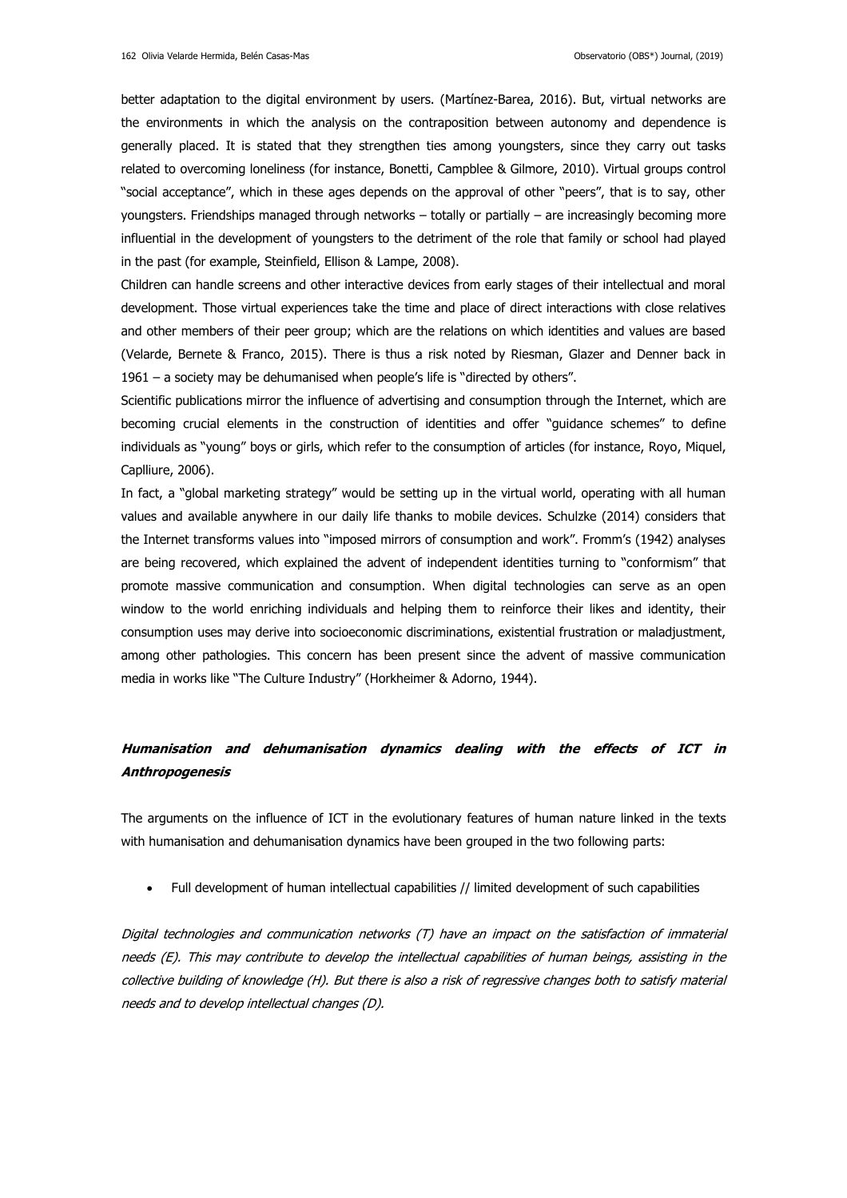better adaptation to the digital environment by users. (Martínez-Barea, 2016). But, virtual networks are the environments in which the analysis on the contraposition between autonomy and dependence is generally placed. It is stated that they strengthen ties among youngsters, since they carry out tasks related to overcoming loneliness (for instance, Bonetti, Campblee & Gilmore, 2010). Virtual groups control "social acceptance", which in these ages depends on the approval of other "peers", that is to say, other youngsters. Friendships managed through networks – totally or partially – are increasingly becoming more influential in the development of youngsters to the detriment of the role that family or school had played in the past (for example, Steinfield, Ellison & Lampe, 2008).

Children can handle screens and other interactive devices from early stages of their intellectual and moral development. Those virtual experiences take the time and place of direct interactions with close relatives and other members of their peer group; which are the relations on which identities and values are based (Velarde, Bernete & Franco, 2015). There is thus a risk noted by Riesman, Glazer and Denner back in 1961 – a society may be dehumanised when people's life is "directed by others".

Scientific publications mirror the influence of advertising and consumption through the Internet, which are becoming crucial elements in the construction of identities and offer "guidance schemes" to define individuals as "young" boys or girls, which refer to the consumption of articles (for instance, Royo, Miquel, Caplliure, 2006).

In fact, a "global marketing strategy" would be setting up in the virtual world, operating with all human values and available anywhere in our daily life thanks to mobile devices. Schulzke (2014) considers that the Internet transforms values into "imposed mirrors of consumption and work". Fromm's (1942) analyses are being recovered, which explained the advent of independent identities turning to "conformism" that promote massive communication and consumption. When digital technologies can serve as an open window to the world enriching individuals and helping them to reinforce their likes and identity, their consumption uses may derive into socioeconomic discriminations, existential frustration or maladjustment, among other pathologies. This concern has been present since the advent of massive communication media in works like "The Culture Industry" (Horkheimer & Adorno, 1944).

# **Humanisation and dehumanisation dynamics dealing with the effects of ICT in Anthropogenesis**

The arguments on the influence of ICT in the evolutionary features of human nature linked in the texts with humanisation and dehumanisation dynamics have been grouped in the two following parts:

Full development of human intellectual capabilities // limited development of such capabilities

Digital technologies and communication networks (T) have an impact on the satisfaction of immaterial needs (E). This may contribute to develop the intellectual capabilities of human beings, assisting in the collective building of knowledge (H). But there is also a risk of regressive changes both to satisfy material needs and to develop intellectual changes (D).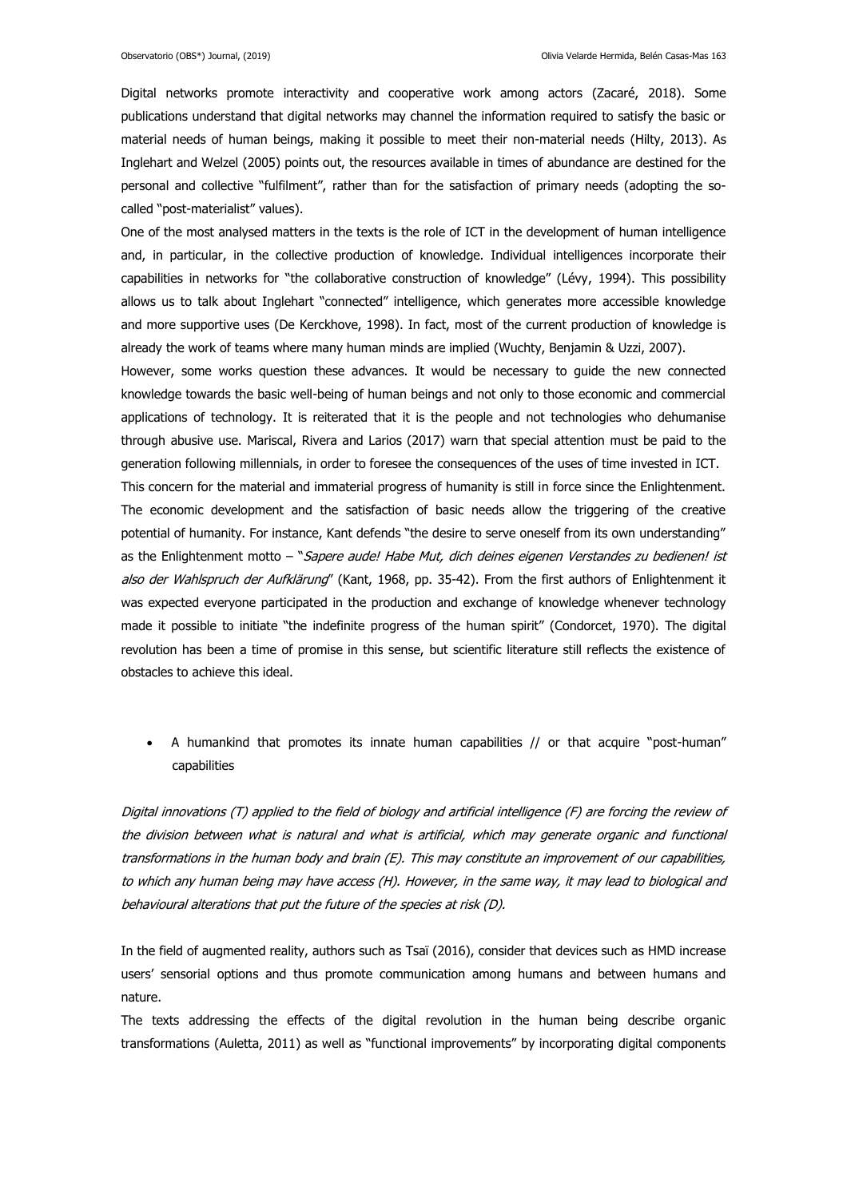Digital networks promote interactivity and cooperative work among actors (Zacaré, 2018). Some publications understand that digital networks may channel the information required to satisfy the basic or material needs of human beings, making it possible to meet their non-material needs (Hilty, 2013). As Inglehart and Welzel (2005) points out, the resources available in times of abundance are destined for the personal and collective "fulfilment", rather than for the satisfaction of primary needs (adopting the socalled "post-materialist" values).

One of the most analysed matters in the texts is the role of ICT in the development of human intelligence and, in particular, in the collective production of knowledge. Individual intelligences incorporate their capabilities in networks for "the collaborative construction of knowledge" (Lévy, 1994). This possibility allows us to talk about Inglehart "connected" intelligence, which generates more accessible knowledge and more supportive uses (De Kerckhove, 1998). In fact, most of the current production of knowledge is already the work of teams where many human minds are implied (Wuchty, Benjamin & Uzzi, 2007).

However, some works question these advances. It would be necessary to guide the new connected knowledge towards the basic well-being of human beings and not only to those economic and commercial applications of technology. It is reiterated that it is the people and not technologies who dehumanise through abusive use. Mariscal, Rivera and Larios (2017) warn that special attention must be paid to the generation following millennials, in order to foresee the consequences of the uses of time invested in ICT.

This concern for the material and immaterial progress of humanity is still in force since the Enlightenment. The economic development and the satisfaction of basic needs allow the triggering of the creative potential of humanity. For instance, Kant defends "the desire to serve oneself from its own understanding" as the Enlightenment motto - "Sapere aude! Habe Mut, dich deines eigenen Verstandes zu bedienen! ist also der Wahlspruch der Aufklärung" (Kant, 1968, pp. 35-42). From the first authors of Enlightenment it was expected everyone participated in the production and exchange of knowledge whenever technology made it possible to initiate "the indefinite progress of the human spirit" (Condorcet, 1970). The digital revolution has been a time of promise in this sense, but scientific literature still reflects the existence of obstacles to achieve this ideal.

 A humankind that promotes its innate human capabilities // or that acquire "post-human" capabilities

Digital innovations (T) applied to the field of biology and artificial intelligence (F) are forcing the review of the division between what is natural and what is artificial, which may generate organic and functional transformations in the human body and brain (E). This may constitute an improvement of our capabilities, to which any human being may have access (H). However, in the same way, it may lead to biological and behavioural alterations that put the future of the species at risk (D).

In the field of augmented reality, authors such as Tsaï (2016), consider that devices such as HMD increase users' sensorial options and thus promote communication among humans and between humans and nature.

The texts addressing the effects of the digital revolution in the human being describe organic transformations (Auletta, 2011) as well as "functional improvements" by incorporating digital components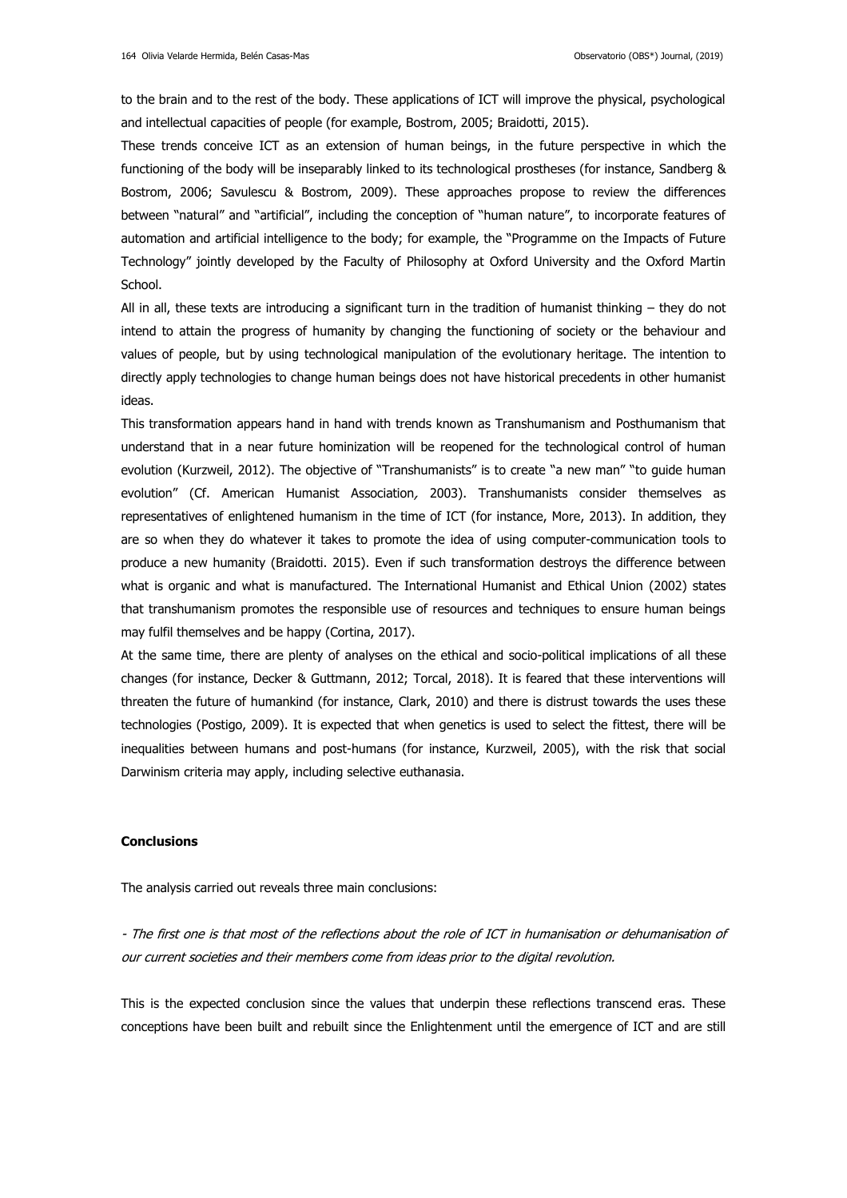to the brain and to the rest of the body. These applications of ICT will improve the physical, psychological and intellectual capacities of people (for example, Bostrom, 2005; Braidotti, 2015).

These trends conceive ICT as an extension of human beings, in the future perspective in which the functioning of the body will be inseparably linked to its technological prostheses (for instance, Sandberg & Bostrom, 2006; Savulescu & Bostrom, 2009). These approaches propose to review the differences between "natural" and "artificial", including the conception of "human nature", to incorporate features of automation and artificial intelligence to the body; for example, the "Programme on the Impacts of Future Technology" jointly developed by the Faculty of Philosophy at Oxford University and the Oxford Martin School.

All in all, these texts are introducing a significant turn in the tradition of humanist thinking – they do not intend to attain the progress of humanity by changing the functioning of society or the behaviour and values of people, but by using technological manipulation of the evolutionary heritage. The intention to directly apply technologies to change human beings does not have historical precedents in other humanist ideas.

This transformation appears hand in hand with trends known as Transhumanism and Posthumanism that understand that in a near future hominization will be reopened for the technological control of human evolution (Kurzweil, 2012). The objective of "Transhumanists" is to create "a new man" "to guide human evolution" (Cf. American Humanist Association, 2003). Transhumanists consider themselves as representatives of enlightened humanism in the time of ICT (for instance, More, 2013). In addition, they are so when they do whatever it takes to promote the idea of using computer-communication tools to produce a new humanity (Braidotti. 2015). Even if such transformation destroys the difference between what is organic and what is manufactured. The International Humanist and Ethical Union (2002) states that transhumanism promotes the responsible use of resources and techniques to ensure human beings may fulfil themselves and be happy (Cortina, 2017).

At the same time, there are plenty of analyses on the ethical and socio-political implications of all these changes (for instance, Decker & Guttmann, 2012; Torcal, 2018). It is feared that these interventions will threaten the future of humankind (for instance, Clark, 2010) and there is distrust towards the uses these technologies (Postigo, 2009). It is expected that when genetics is used to select the fittest, there will be inequalities between humans and post-humans (for instance, Kurzweil, 2005), with the risk that social Darwinism criteria may apply, including selective euthanasia.

#### **Conclusions**

The analysis carried out reveals three main conclusions:

- The first one is that most of the reflections about the role of ICT in humanisation or dehumanisation of our current societies and their members come from ideas prior to the digital revolution.

This is the expected conclusion since the values that underpin these reflections transcend eras. These conceptions have been built and rebuilt since the Enlightenment until the emergence of ICT and are still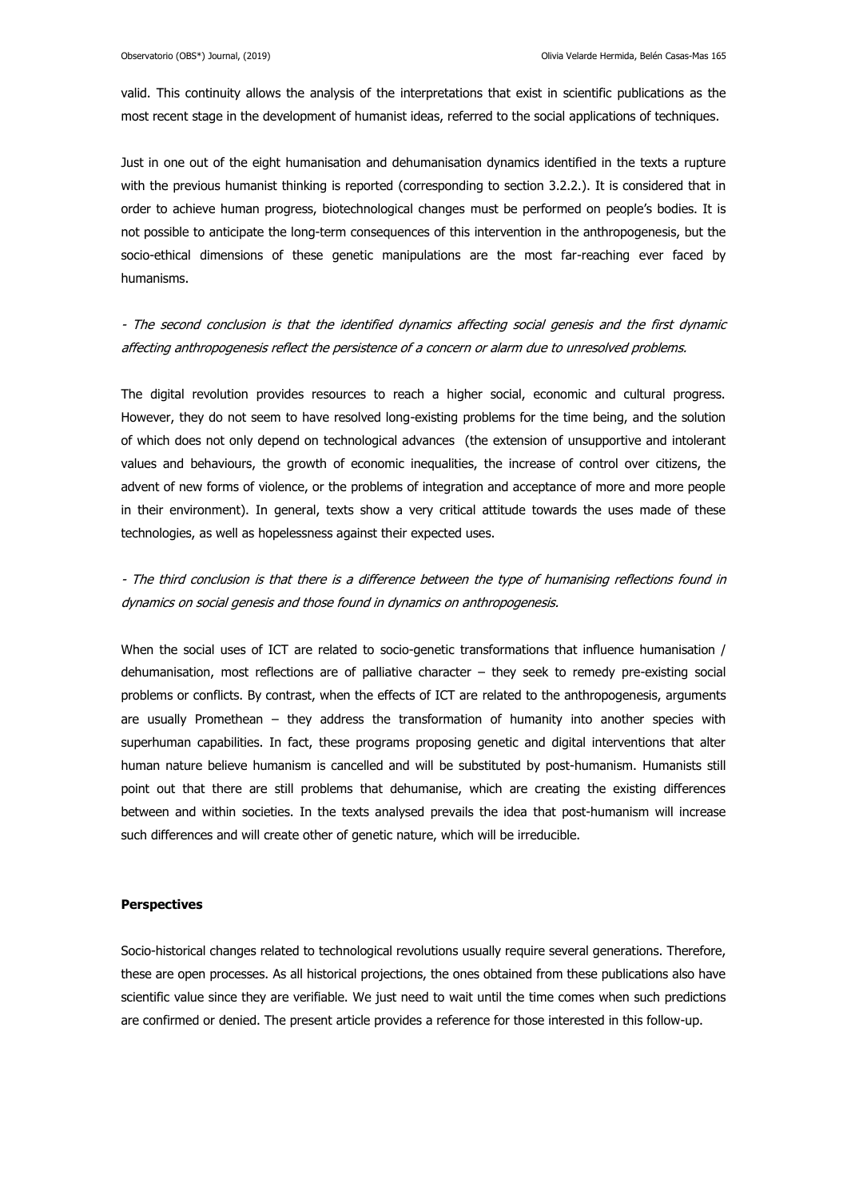valid. This continuity allows the analysis of the interpretations that exist in scientific publications as the most recent stage in the development of humanist ideas, referred to the social applications of techniques.

Just in one out of the eight humanisation and dehumanisation dynamics identified in the texts a rupture with the previous humanist thinking is reported (corresponding to section 3.2.2.). It is considered that in order to achieve human progress, biotechnological changes must be performed on people's bodies. It is not possible to anticipate the long-term consequences of this intervention in the anthropogenesis, but the socio-ethical dimensions of these genetic manipulations are the most far-reaching ever faced by humanisms.

- The second conclusion is that the identified dynamics affecting social genesis and the first dynamic affecting anthropogenesis reflect the persistence of a concern or alarm due to unresolved problems.

The digital revolution provides resources to reach a higher social, economic and cultural progress. However, they do not seem to have resolved long-existing problems for the time being, and the solution of which does not only depend on technological advances (the extension of unsupportive and intolerant values and behaviours, the growth of economic inequalities, the increase of control over citizens, the advent of new forms of violence, or the problems of integration and acceptance of more and more people in their environment). In general, texts show a very critical attitude towards the uses made of these technologies, as well as hopelessness against their expected uses.

- The third conclusion is that there is a difference between the type of humanising reflections found in dynamics on social genesis and those found in dynamics on anthropogenesis.

When the social uses of ICT are related to socio-genetic transformations that influence humanisation / dehumanisation, most reflections are of palliative character – they seek to remedy pre-existing social problems or conflicts. By contrast, when the effects of ICT are related to the anthropogenesis, arguments are usually Promethean – they address the transformation of humanity into another species with superhuman capabilities. In fact, these programs proposing genetic and digital interventions that alter human nature believe humanism is cancelled and will be substituted by post-humanism. Humanists still point out that there are still problems that dehumanise, which are creating the existing differences between and within societies. In the texts analysed prevails the idea that post-humanism will increase such differences and will create other of genetic nature, which will be irreducible.

#### **Perspectives**

Socio-historical changes related to technological revolutions usually require several generations. Therefore, these are open processes. As all historical projections, the ones obtained from these publications also have scientific value since they are verifiable. We just need to wait until the time comes when such predictions are confirmed or denied. The present article provides a reference for those interested in this follow-up.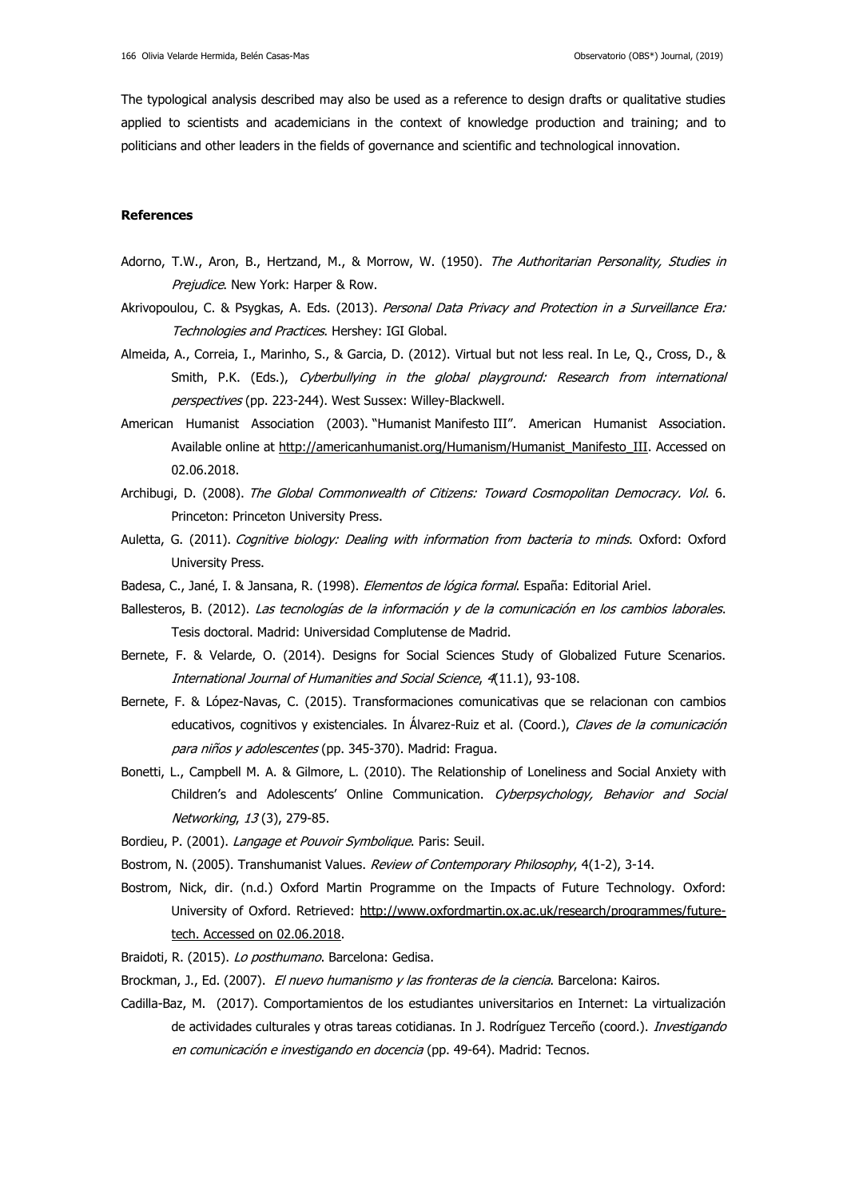The typological analysis described may also be used as a reference to design drafts or qualitative studies applied to scientists and academicians in the context of knowledge production and training; and to politicians and other leaders in the fields of governance and scientific and technological innovation.

#### **References**

- Adorno, T.W., Aron, B., Hertzand, M., & Morrow, W. (1950). The Authoritarian Personality, Studies in Prejudice. New York: Harper & Row.
- Akrivopoulou, C. & Psygkas, A. Eds. (2013). Personal Data Privacy and Protection in a Surveillance Era: Technologies and Practices. Hershey: IGI Global.
- Almeida, A., Correia, I., Marinho, S., & Garcia, D. (2012). Virtual but not less real. In Le, Q., Cross, D., & Smith, P.K. (Eds.), Cyberbullying in the global playground: Research from international perspectives (pp. 223-244). West Sussex: Willey-Blackwell.
- American Humanist Association (2003). "Humanist Manifesto III". American Humanist Association. Available online at [http://americanhumanist.org/Humanism/Humanist\\_Manifesto\\_III.](http://americanhumanist.org/Humanism/Humanist_Manifesto_III) Accessed on 02.06.2018.
- Archibugi, D. (2008). The Global Commonwealth of Citizens: Toward Cosmopolitan Democracy. Vol. 6. Princeton: Princeton University Press.
- Auletta, G. (2011). Cognitive biology: Dealing with information from bacteria to minds. Oxford: Oxford University Press.
- Badesa, C., Jané, I. & Jansana, R. (1998). *Elementos de lógica formal*. España: Editorial Ariel.
- Ballesteros, B. (2012). Las tecnologías de la información y de la comunicación en los cambios laborales. Tesis doctoral. Madrid: [Universidad Complutense de Madrid.](https://dialnet.unirioja.es/institucion/401/buscar/tesis)
- Bernete, F. & Velarde, O. (2014). Designs for Social Sciences Study of Globalized Future Scenarios. International Journal of Humanities and Social Science, 4(11.1), 93-108.
- Bernete, F. & López-Navas, C. (2015). Transformaciones comunicativas que se relacionan con cambios educativos, cognitivos y existenciales. In Álvarez-Ruiz et al. (Coord.), Claves de la comunicación para niños y adolescentes (pp. 345-370). Madrid: Fragua.
- Bonetti, L., Campbell M. A. & Gilmore, L. (2010). The Relationship of Loneliness and Social Anxiety with Children's and Adolescents' Online Communication. Cyberpsychology, Behavior and Social Networking, 13 (3), 279-85.
- Bordieu, P. (2001). Langage et Pouvoir Symbolique. Paris: Seuil.
- Bostrom, N. (2005). Transhumanist Values. Review of Contemporary Philosophy, 4(1-2), 3-14.
- Bostrom, Nick, dir. (n.d.) Oxford Martin Programme on the Impacts of Future Technology. Oxford: University of Oxford. Retrieved: [http://www.oxfordmartin.ox.ac.uk/research/programmes/future](http://www.oxfordmartin.ox.ac.uk/research/programmes/future-tech.%20Accessed%20on%2002.06.2018)[tech. Accessed on 02.06.2018.](http://www.oxfordmartin.ox.ac.uk/research/programmes/future-tech.%20Accessed%20on%2002.06.2018)
- Braidoti, R. (2015). Lo posthumano. Barcelona: Gedisa.
- Brockman, J., Ed. (2007). El nuevo humanismo y las fronteras de la ciencia. Barcelona: Kairos.
- Cadilla-Baz, M. (2017). Comportamientos de los estudiantes universitarios en Internet: La virtualización de actividades culturales y otras tareas cotidianas. In J. Rodríguez Terceño (coord.). Investigando en comunicación e investigando en docencia (pp. 49-64). Madrid: Tecnos.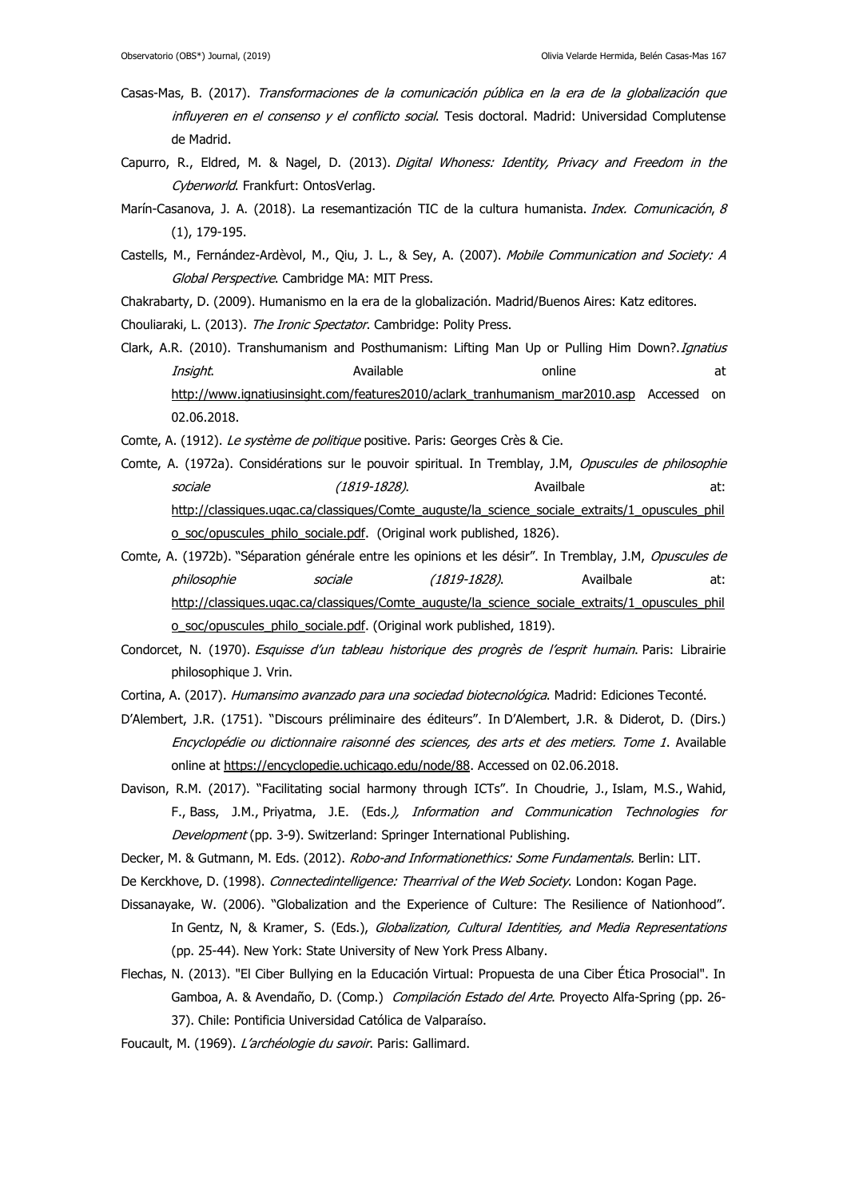- Casas-Mas, B. (2017). Transformaciones de la comunicación pública en la era de la globalización que influyeren en el consenso y el conflicto social. Tesis doctoral. Madrid: Universidad Complutense [de Madrid.](https://dialnet.unirioja.es/institucion/401/buscar/tesis)
- Capurro, R., Eldred, M. & Nagel, D. (2013). Digital Whoness: Identity, Privacy and Freedom in the Cyberworld. Frankfurt: OntosVerlag.
- Marín-Casanova, J. A. (2018). La resemantización TIC de la cultura humanista. Index. Comunicación, 8 (1), 179-195.
- Castells, M., Fernández-Ardèvol, M., Qiu, J. L., & Sey, A. (2007). Mobile Communication and Society: A Global Perspective. Cambridge MA: MIT Press.
- Chakrabarty, D. (2009). Humanismo en la era de la globalización. Madrid/Buenos Aires: Katz editores.
- Chouliaraki, L. (2013). The Ironic Spectator. Cambridge: Polity Press.
- Clark, A.R. (2010). Transhumanism and Posthumanism: Lifting Man Up or Pulling Him Down?. Ignatius Insight. Available and the set online at the at [http://www.ignatiusinsight.com/features2010/aclark\\_tranhumanism\\_mar2010.asp](http://www.ignatiusinsight.com/features2010/aclark_tranhumanism_mar2010.asp) Accessed on 02.06.2018.
- Comte, A. (1912). Le système de politique positive. Paris: Georges Crès & Cie.
- Comte, A. (1972a). Considérations sur le pouvoir spiritual. In Tremblay, J.M, Opuscules de philosophie sociale (1819-1828). Availbale at: [http://classiques.uqac.ca/classiques/Comte\\_auguste/la\\_science\\_sociale\\_extraits/1\\_opuscules\\_phil](http://classiques.uqac.ca/classiques/Comte_auguste/la_science_sociale_extraits/1_opuscules_philo_soc/opuscules_philo_sociale.pdf) [o\\_soc/opuscules\\_philo\\_sociale.pdf.](http://classiques.uqac.ca/classiques/Comte_auguste/la_science_sociale_extraits/1_opuscules_philo_soc/opuscules_philo_sociale.pdf) (Original work published, 1826).
- Comte, A. (1972b). "Séparation générale entre les opinions et les désir". In Tremblay, J.M, Opuscules de philosophie sociale (1819-1828). Availbale at: [http://classiques.uqac.ca/classiques/Comte\\_auguste/la\\_science\\_sociale\\_extraits/1\\_opuscules\\_phil](http://classiques.uqac.ca/classiques/Comte_auguste/la_science_sociale_extraits/1_opuscules_philo_soc/opuscules_philo_sociale.pdf) [o\\_soc/opuscules\\_philo\\_sociale.pdf.](http://classiques.uqac.ca/classiques/Comte_auguste/la_science_sociale_extraits/1_opuscules_philo_soc/opuscules_philo_sociale.pdf) (Original work published, 1819).
- Condorcet, N. (1970). Esquisse d'un tableau historique des progrès de l'esprit humain. Paris: Librairie philosophique J. Vrin.
- Cortina, A. (2017). Humansimo avanzado para una sociedad biotecnológica. Madrid: Ediciones Teconté.
- D'Alembert, J.R. (1751). "Discours préliminaire des éditeurs". In D'Alembert, J.R. & Diderot, D. (Dirs.) Encyclopédie ou dictionnaire raisonné des sciences, des arts et des metiers. Tome 1. Available online at [https://encyclopedie.uchicago.edu/node/88.](https://encyclopedie.uchicago.edu/node/88) Accessed on 02.06.2018.
- Davison, R.M. (2017). "Facilitating social harmony through ICTs". In Choudrie, J., Islam, M.S., Wahid, F., Bass, J.M., Priyatma, J.E. (Eds.), Information and Communication Technologies for Development (pp. 3-9). Switzerland: Springer International Publishing.
- Decker, M. & Gutmann, M. Eds. (2012). Robo-and Informationethics: Some Fundamentals. Berlin: LIT.
- De Kerckhove, D. (1998). Connectedintelligence: Thearrival of the Web Society. London: Kogan Page.
- Dissanayake, W. (2006). "Globalization and the Experience of Culture: The Resilience of Nationhood". In Gentz, N, & Kramer, S. (Eds.), Globalization, Cultural Identities, and Media Representations (pp. 25-44). New York: State University of New York Press Albany.
- Flechas, N. (2013). "El Ciber Bullying en la Educación Virtual: Propuesta de una Ciber Ética Prosocial". In Gamboa, A. & Avendaño, D. (Comp.) Compilación Estado del Arte. Proyecto Alfa-Spring (pp. 26-37). Chile: Pontificia Universidad Católica de Valparaíso.
- Foucault, M. (1969). L'archéologie du savoir. Paris: Gallimard.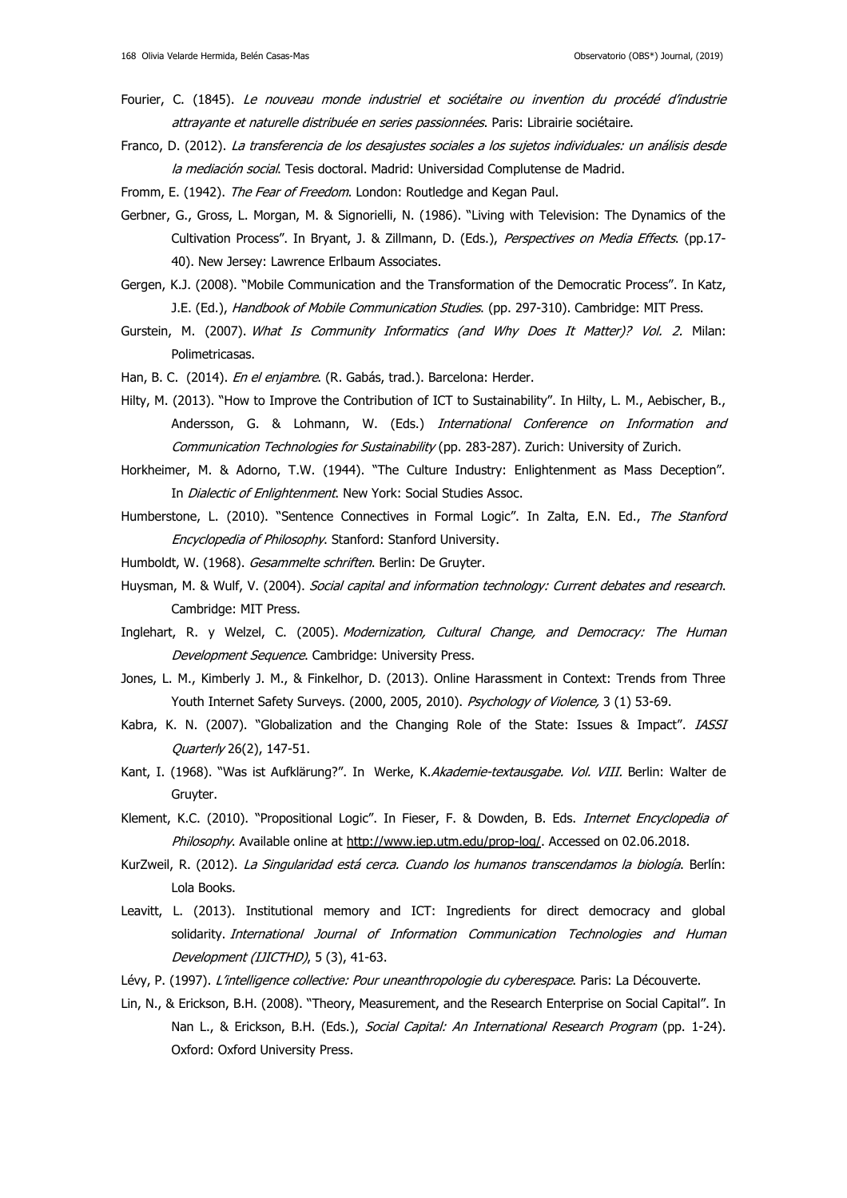- Fourier, C. (1845). Le nouveau monde industriel et sociétaire ou invention du procédé d'industrie attrayante et naturelle distribuée en series passionnées. Paris: Librairie sociétaire.
- Franco, D. (2012). La transferencia de los desajustes sociales a los sujetos individuales: un análisis desde la mediación social. Tesis doctoral. Madrid: [Universidad Complutense de Madrid.](https://dialnet.unirioja.es/institucion/401/buscar/tesis)
- Fromm, E. (1942). The Fear of Freedom. London: Routledge and Kegan Paul.
- Gerbner, G., Gross, L. Morgan, M. & Signorielli, N. (1986). "Living with Television: The Dynamics of the Cultivation Process". In Bryant, J. & Zillmann, D. (Eds.), Perspectives on Media Effects. (pp.17-40). New Jersey: Lawrence Erlbaum Associates.
- Gergen, K.J. (2008). "Mobile Communication and the Transformation of the Democratic Process". In Katz, J.E. (Ed.), Handbook of Mobile Communication Studies. (pp. 297-310). Cambridge: MIT Press.
- Gurstein, M. (2007). What Is Community Informatics (and Why Does It Matter)? Vol. 2. Milan: Polimetricasas.
- Han, B. C. (2014). En el enjambre. (R. Gabás, trad.). Barcelona: Herder.
- Hilty, M. (2013). "How to Improve the Contribution of ICT to Sustainability". In Hilty, L. M., Aebischer, B., Andersson, G. & Lohmann, W. (Eds.) International Conference on Information and Communication Technologies for Sustainability (pp. 283-287). Zurich: University of Zurich.
- Horkheimer, M. & Adorno, T.W. (1944). "The Culture Industry: Enlightenment as Mass Deception". In Dialectic of Enlightenment. New York: Social Studies Assoc.
- Humberstone, L. (2010). "Sentence Connectives in Formal Logic". In Zalta, E.N. Ed., The Stanford Encyclopedia of Philosophy. Stanford: Stanford University.
- Humboldt, W. (1968). Gesammelte schriften. Berlin: De Gruyter.
- Huysman, M. & Wulf, V. (2004). Social capital and information technology: Current debates and research. Cambridge: MIT Press.
- Inglehart, R. y Welzel, C. (2005). Modernization, Cultural Change, and Democracy: The Human Development Sequence. Cambridge: University Press.
- Jones, L. M., Kimberly J. M., & Finkelhor, D. (2013). Online Harassment in Context: Trends from Three Youth Internet Safety Surveys. (2000, 2005, 2010). Psychology of Violence, 3 (1) 53-69.
- Kabra, K. N. (2007). "Globalization and the Changing Role of the State: Issues & Impact". IASSI Quarterly 26(2), 147-51.
- Kant, I. (1968). "Was ist Aufklärung?". In Werke, K.Akademie-textausgabe. Vol. VIII. Berlin: Walter de Gruyter.
- Klement, K.C. (2010). "Propositional Logic". In Fieser, F. & Dowden, B. Eds. *Internet Encyclopedia of* Philosophy. Available online at http://www.iep.utm.edu/prop-loq/. Accessed on 02.06.2018.
- KurZweil, R. (2012). La Singularidad está cerca. Cuando los humanos transcendamos la biología. Berlín: Lola Books.
- Leavitt, L. (2013). Institutional memory and ICT: Ingredients for direct democracy and global solidarity. International Journal of Information Communication Technologies and Human Development (IJICTHD), 5 (3), 41-63.
- Lévy, P. (1997). L'intelligence collective: Pour uneanthropologie du cyberespace. Paris: La Découverte.
- Lin, N., & Erickson, B.H. (2008). "Theory, Measurement, and the Research Enterprise on Social Capital". In Nan L., & Erickson, B.H. (Eds.), Social Capital: An International Research Program (pp. 1-24). Oxford: Oxford University Press.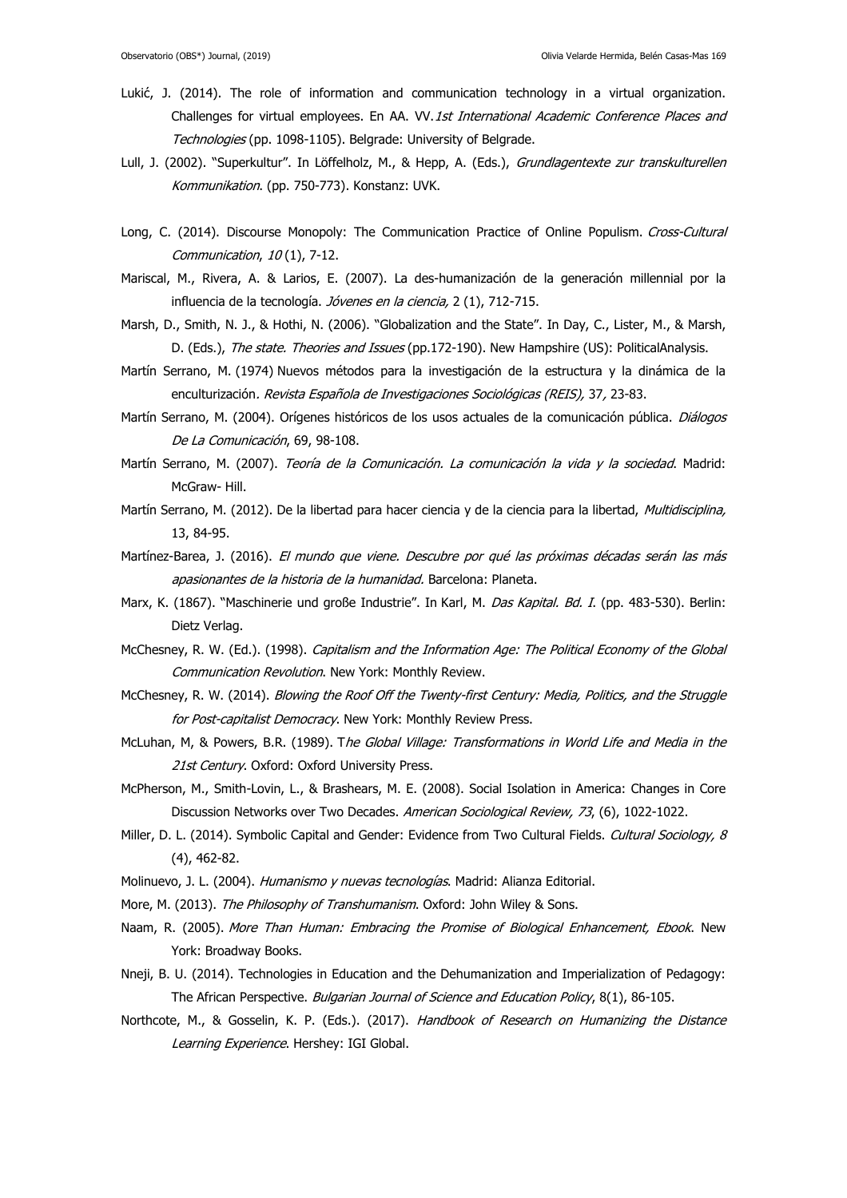- Lukić, J. (2014). The role of information and communication technology in a virtual organization. Challenges for virtual employees. En AA. VV.1st International Academic Conference Places and Technologies (pp. 1098-1105). Belgrade: University of Belgrade.
- Lull, J. (2002). "Superkultur". In Löffelholz, M., & Hepp, A. (Eds.), Grundlagentexte zur transkulturellen Kommunikation. (pp. 750-773). Konstanz: UVK.
- Long, C. (2014). Discourse Monopoly: The Communication Practice of Online Populism. Cross-Cultural Communication, 10 (1), 7-12.
- Mariscal, M., Rivera, A. & Larios, E. (2007). La des-humanización de la generación millennial por la influencia de la tecnología. Jóvenes en la ciencia, 2 (1), 712-715.
- Marsh, D., Smith, N. J., & Hothi, N. (2006). "Globalization and the State". In Day, C., Lister, M., & Marsh, D. (Eds.), The state. Theories and Issues (pp.172-190). New Hampshire (US): PoliticalAnalysis.
- Martín Serrano, M. (1974) Nuevos métodos para la investigación de la estructura y la dinámica de la enculturización. Revista Española de Investigaciones Sociológicas (REIS), 37, 23-83.
- Martín Serrano, M. (2004). Orígenes históricos de los usos actuales de la comunicación pública. Diálogos De La Comunicación, 69, 98-108.
- Martín Serrano, M. (2007). Teoría de la Comunicación. La comunicación la vida y la sociedad. Madrid: McGraw- Hill.
- Martín Serrano, M. (2012). De la libertad para hacer ciencia y de la ciencia para la libertad, Multidisciplina, 13, 84-95.
- Martínez-Barea, J. (2016). El mundo que viene. Descubre por qué las próximas décadas serán las más apasionantes de la historia de la humanidad. Barcelona: Planeta.
- Marx, K. (1867). "Maschinerie und große Industrie". In Karl, M. Das Kapital. Bd. I. (pp. 483-530). Berlin: Dietz Verlag.
- McChesney, R. W. (Ed.). (1998). Capitalism and the Information Age: The Political Economy of the Global Communication Revolution. New York: Monthly Review.
- McChesney, R. W. (2014). Blowing the Roof Off the Twenty-first Century: Media, Politics, and the Struggle for Post-capitalist Democracy. New York: Monthly Review Press.
- McLuhan, M, & Powers, B.R. (1989). The Global Village: Transformations in World Life and Media in the 21st Century. Oxford: Oxford University Press.
- McPherson, M., Smith-Lovin, L., & Brashears, M. E. (2008). Social Isolation in America: Changes in Core Discussion Networks over Two Decades. American Sociological Review, 73, (6), 1022-1022.
- Miller, D. L. (2014). Symbolic Capital and Gender: Evidence from Two Cultural Fields. Cultural Sociology, 8 (4), 462-82.
- Molinuevo, J. L. (2004). Humanismo y nuevas tecnologías. Madrid: Alianza Editorial.
- More, M. (2013). The Philosophy of Transhumanism. Oxford: John Wiley & Sons.
- Naam, R. (2005). More Than Human: Embracing the Promise of Biological Enhancement, Ebook. New York: Broadway Books.
- Nneji, B. U. (2014). Technologies in Education and the Dehumanization and Imperialization of Pedagogy: The African Perspective. Bulgarian Journal of Science and Education Policy, 8(1), 86-105.
- Northcote, M., & Gosselin, K. P. (Eds.). (2017). Handbook of Research on Humanizing the Distance Learning Experience. Hershey: IGI Global.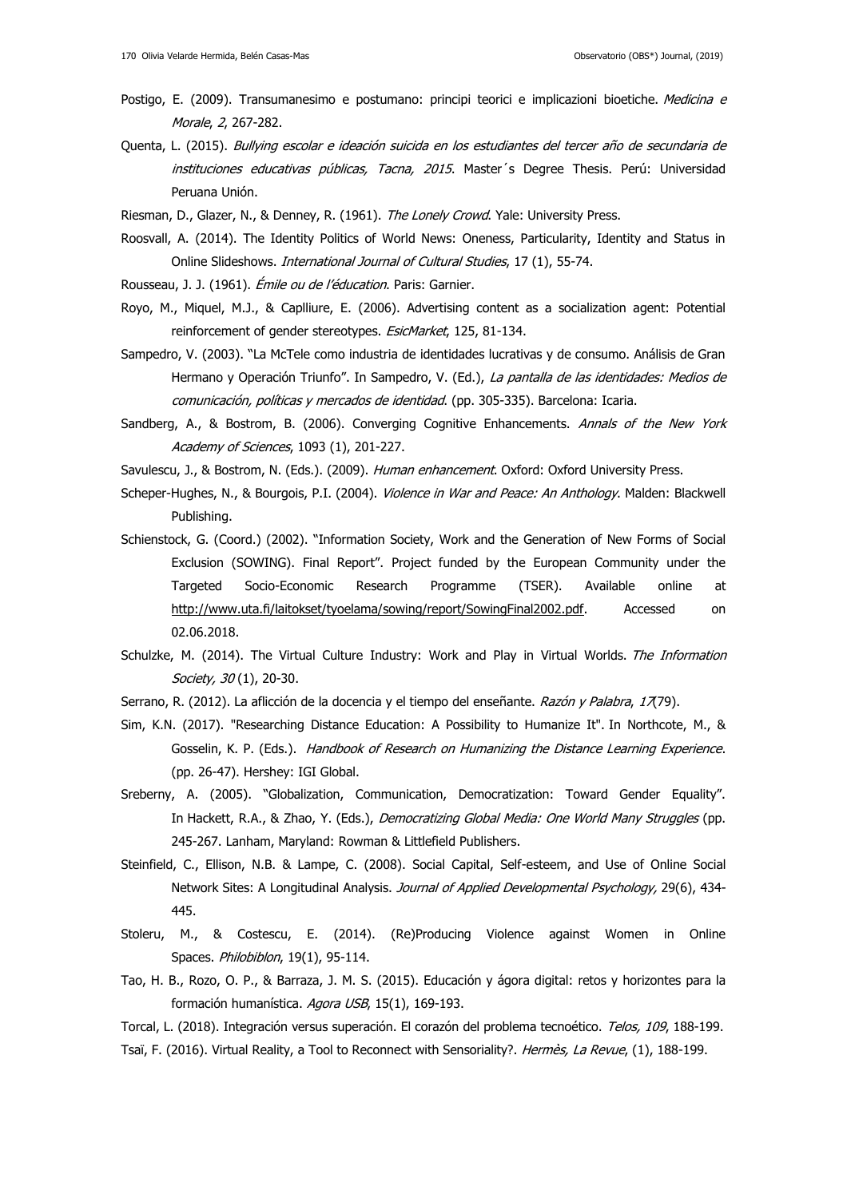- Postigo, E. (2009). Transumanesimo e postumano: principi teorici e implicazioni bioetiche. Medicina e Morale, 2, 267-282.
- Quenta, L. (2015). Bullying escolar e ideación suicida en los estudiantes del tercer año de secundaria de instituciones educativas públicas, Tacna, 2015. Master's Degree Thesis. Perú: Universidad Peruana Unión.
- Riesman, D., Glazer, N., & Denney, R. (1961). The Lonely Crowd. Yale: University Press.
- Roosvall, A. (2014). The Identity Politics of World News: Oneness, Particularity, Identity and Status in Online Slideshows. International Journal of Cultural Studies, 17 (1), 55-74.
- Rousseau, J. J. (1961). *Émile ou de l'éducation*. Paris: Garnier.
- Royo, M., Miquel, M.J., & Caplliure, E. (2006). Advertising content as a socialization agent: Potential reinforcement of gender stereotypes. EsicMarket, 125, 81-134.
- Sampedro, V. (2003). "La McTele como industria de identidades lucrativas y de consumo. Análisis de Gran Hermano y Operación Triunfo". In Sampedro, V. (Ed.), La pantalla de las identidades: Medios de comunicación, políticas y mercados de identidad. (pp. 305-335). Barcelona: Icaria.
- Sandberg, A., & Bostrom, B. (2006). Converging Cognitive Enhancements. Annals of the New York Academy of Sciences, 1093 (1), 201-227.
- Savulescu, J., & Bostrom, N. (Eds.). (2009). Human enhancement. Oxford: Oxford University Press.
- Scheper-Hughes, N., & Bourgois, P.I. (2004). Violence in War and Peace: An Anthology. Malden: Blackwell Publishing.
- Schienstock, G. (Coord.) (2002). "Information Society, Work and the Generation of New Forms of Social Exclusion (SOWING). Final Report". Project funded by the European Community under the Targeted Socio-Economic Research Programme (TSER). Available online at [http://www.uta.fi/laitokset/tyoelama/sowing/report/SowingFinal2002.pdf.](http://www.uta.fi/laitokset/tyoelama/sowing/report/SowingFinal2002.pdf) Accessed on 02.06.2018.
- Schulzke, M. (2014). The Virtual Culture Industry: Work and Play in Virtual Worlds. The Information Society, 30(1), 20-30.
- Serrano, R. (2012). La aflicción de la docencia y el tiempo del enseñante. Razón y Palabra, 17(79).
- Sim, K.N. (2017). "Researching Distance Education: A Possibility to Humanize It". In Northcote, M., & Gosselin, K. P. (Eds.). Handbook of Research on Humanizing the Distance Learning Experience. (pp. 26-47). Hershey: IGI Global.
- Sreberny, A. (2005). "Globalization, Communication, Democratization: Toward Gender Equality". In Hackett, R.A., & Zhao, Y. (Eds.), Democratizing Global Media: One World Many Struggles (pp. 245-267. Lanham, Maryland: Rowman & Littlefield Publishers.
- Steinfield, C., Ellison, N.B. & Lampe, C. (2008). Social Capital, Self-esteem, and Use of Online Social Network Sites: A Longitudinal Analysis. Journal of Applied Developmental Psychology, 29(6), 434-445.
- Stoleru, M., & Costescu, E. (2014). (Re)Producing Violence against Women in Online Spaces. Philobiblon, 19(1), 95-114.
- Tao, H. B., Rozo, O. P., & Barraza, J. M. S. (2015). Educación y ágora digital: retos y horizontes para la formación humanística. Agora USB, 15(1), 169-193.
- Torcal, L. (2018). Integración versus superación. El corazón del problema tecnoético. Telos, 109, 188-199.
- Tsaï, F. (2016). Virtual Reality, a Tool to Reconnect with Sensoriality?. Hermès, La Revue, (1), 188-199.